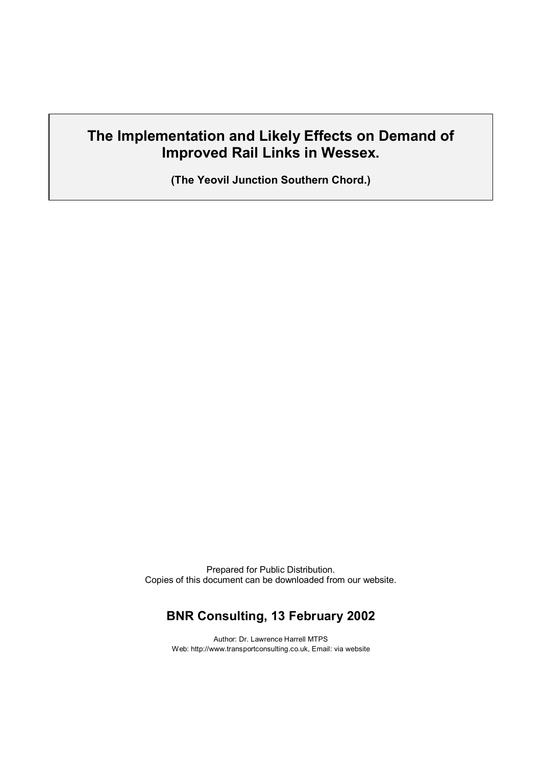# **The Implementation and Likely Effects on Demand of Improved Rail Links in Wessex.**

**(The Yeovil Junction Southern Chord.)**

Prepared for Public Distribution. Copies of this document can be downloaded from our website.

## **BNR Consulting, 13 February 2002**

Author: Dr. Lawrence Harrell MTPS Web: http://www.transportconsulting.co.uk, Email: via website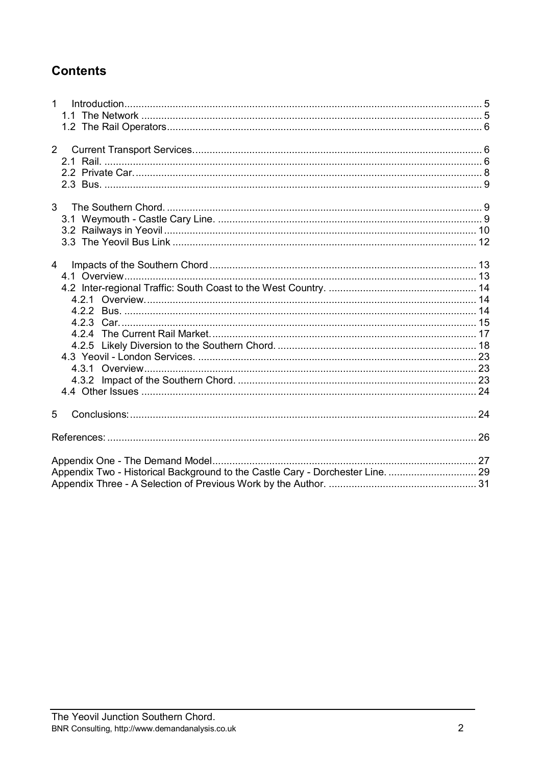# **Contents**

| 1 <sup>1</sup><br>Introduction 5                                               |  |
|--------------------------------------------------------------------------------|--|
|                                                                                |  |
|                                                                                |  |
| $2^{\circ}$                                                                    |  |
|                                                                                |  |
|                                                                                |  |
|                                                                                |  |
|                                                                                |  |
|                                                                                |  |
|                                                                                |  |
|                                                                                |  |
|                                                                                |  |
|                                                                                |  |
| $\overline{4}$                                                                 |  |
|                                                                                |  |
|                                                                                |  |
|                                                                                |  |
|                                                                                |  |
|                                                                                |  |
|                                                                                |  |
|                                                                                |  |
|                                                                                |  |
|                                                                                |  |
|                                                                                |  |
|                                                                                |  |
| 5                                                                              |  |
|                                                                                |  |
|                                                                                |  |
|                                                                                |  |
| Appendix Two - Historical Background to the Castle Cary - Dorchester Line.  29 |  |
|                                                                                |  |
|                                                                                |  |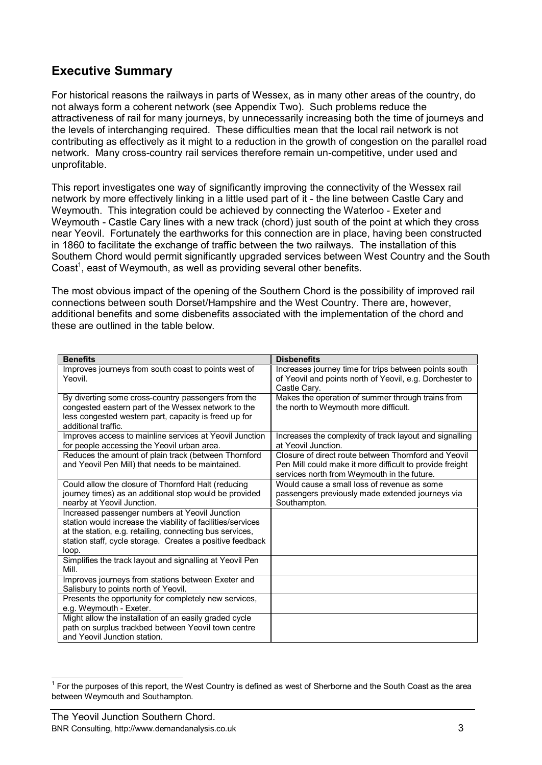## **Executive Summary**

For historical reasons the railways in parts of Wessex, as in many other areas of the country, do not always form a coherent network (see Appendix Two). Such problems reduce the attractiveness of rail for many journeys, by unnecessarily increasing both the time of journeys and the levels of interchanging required. These difficulties mean that the local rail network is not contributing as effectively as it might to a reduction in the growth of congestion on the parallel road network. Many cross-country rail services therefore remain un-competitive, under used and unprofitable.

This report investigates one way of significantly improving the connectivity of the Wessex rail network by more effectively linking in a little used part of it - the line between Castle Cary and Weymouth. This integration could be achieved by connecting the Waterloo - Exeter and Weymouth - Castle Cary lines with a new track (chord) just south of the point at which they cross near Yeovil. Fortunately the earthworks for this connection are in place, having been constructed in 1860 to facilitate the exchange of traffic between the two railways. The installation of this Southern Chord would permit significantly upgraded services between West Country and the South Coast<sup>1</sup>, east of Weymouth, as well as providing several other benefits.

The most obvious impact of the opening of the Southern Chord is the possibility of improved rail connections between south Dorset/Hampshire and the West Country. There are, however, additional benefits and some disbenefits associated with the implementation of the chord and these are outlined in the table below.

| <b>Benefits</b>                                                   | <b>Disbenefits</b>                                       |
|-------------------------------------------------------------------|----------------------------------------------------------|
| Improves journeys from south coast to points west of              | Increases journey time for trips between points south    |
| Yeovil                                                            | of Yeovil and points north of Yeovil, e.g. Dorchester to |
|                                                                   | Castle Cary.                                             |
| By diverting some cross-country passengers from the               | Makes the operation of summer through trains from        |
| congested eastern part of the Wessex network to the               | the north to Weymouth more difficult.                    |
| less congested western part, capacity is freed up for             |                                                          |
| additional traffic.                                               |                                                          |
| Improves access to mainline services at Yeovil Junction           | Increases the complexity of track layout and signalling  |
| for people accessing the Yeovil urban area.                       | at Yeovil Junction.                                      |
| Reduces the amount of plain track (between Thornford              | Closure of direct route between Thornford and Yeovil     |
| and Yeovil Pen Mill) that needs to be maintained.                 | Pen Mill could make it more difficult to provide freight |
|                                                                   | services north from Weymouth in the future.              |
| Could allow the closure of Thornford Halt (reducing               | Would cause a small loss of revenue as some              |
| journey times) as an additional stop would be provided            | passengers previously made extended journeys via         |
| nearby at Yeovil Junction.                                        | Southampton.                                             |
| Increased passenger numbers at Yeovil Junction                    |                                                          |
| station would increase the viability of facilities/services       |                                                          |
| at the station, e.g. retailing, connecting bus services,          |                                                          |
| station staff, cycle storage. Creates a positive feedback         |                                                          |
| loop.                                                             |                                                          |
| Simplifies the track layout and signalling at Yeovil Pen<br>Mill. |                                                          |
| Improves journeys from stations between Exeter and                |                                                          |
| Salisbury to points north of Yeovil.                              |                                                          |
| Presents the opportunity for completely new services,             |                                                          |
| e.g. Weymouth - Exeter.                                           |                                                          |
| Might allow the installation of an easily graded cycle            |                                                          |
| path on surplus trackbed between Yeovil town centre               |                                                          |
| and Yeovil Junction station.                                      |                                                          |

 $1$  For the purposes of this report, the West Country is defined as west of Sherborne and the South Coast as the area between Weymouth and Southampton.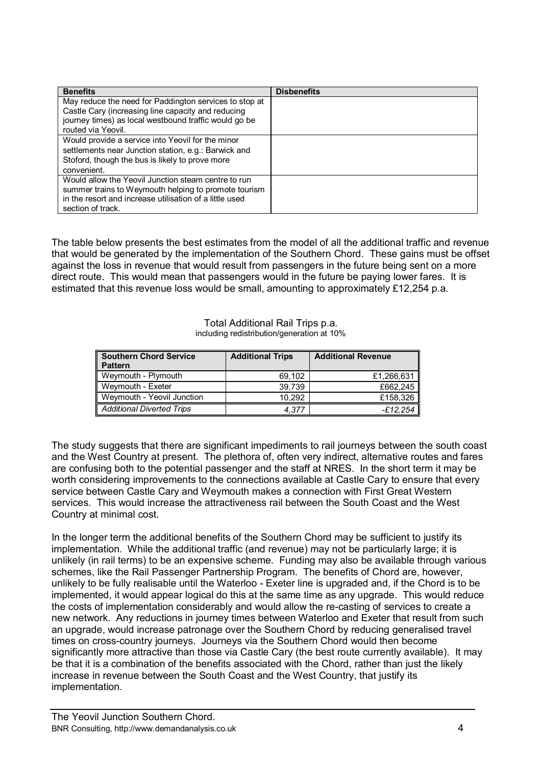| <b>Benefits</b>                                         | <b>Disbenefits</b> |
|---------------------------------------------------------|--------------------|
| May reduce the need for Paddington services to stop at  |                    |
| Castle Cary (increasing line capacity and reducing      |                    |
| journey times) as local westbound traffic would go be   |                    |
| routed via Yeovil.                                      |                    |
| Would provide a service into Yeovil for the minor       |                    |
| settlements near Junction station, e.g.: Barwick and    |                    |
| Stoford, though the bus is likely to prove more         |                    |
| convenient.                                             |                    |
| Would allow the Yeovil Junction steam centre to run     |                    |
| summer trains to Weymouth helping to promote tourism    |                    |
| in the resort and increase utilisation of a little used |                    |
| section of track.                                       |                    |

The table below presents the best estimates from the model of all the additional traffic and revenue that would be generated by the implementation of the Southern Chord. These gains must be offset against the loss in revenue that would result from passengers in the future being sent on a more direct route. This would mean that passengers would in the future be paying lower fares. It is estimated that this revenue loss would be small, amounting to approximately £12,254 p.a.

> Total Additional Rail Trips p.a. including redistribution/generation at 10%

| Southern Chord Service<br><b>Pattern</b> | <b>Additional Trips</b> | <b>Additional Revenue</b> |
|------------------------------------------|-------------------------|---------------------------|
| Weymouth - Plymouth                      | 69,102                  | £1,266,631                |
| Weymouth - Exeter                        | 39.739                  | £662.245                  |
| Weymouth - Yeovil Junction               | 10.292                  | £158,326                  |
| Additional Diverted Trips                | 4.377                   | -£12.254                  |

The study suggests that there are significant impediments to rail journeys between the south coast and the West Country at present. The plethora of, often very indirect, alternative routes and fares are confusing both to the potential passenger and the staff at NRES. In the short term it may be worth considering improvements to the connections available at Castle Cary to ensure that every service between Castle Cary and Weymouth makes a connection with First Great Western services. This would increase the attractiveness rail between the South Coast and the West Country at minimal cost.

In the longer term the additional benefits of the Southern Chord may be sufficient to justify its implementation. While the additional traffic (and revenue) may not be particularly large; it is unlikely (in rail terms) to be an expensive scheme. Funding may also be available through various schemes, like the Rail Passenger Partnership Program. The benefits of Chord are, however, unlikely to be fully realisable until the Waterloo - Exeter line is upgraded and, if the Chord is to be implemented, it would appear logical do this at the same time as any upgrade. This would reduce the costs of implementation considerably and would allow the re-casting of services to create a new network. Any reductions in journey times between Waterloo and Exeter that result from such an upgrade, would increase patronage over the Southern Chord by reducing generalised travel times on cross-country journeys. Journeys via the Southern Chord would then become significantly more attractive than those via Castle Cary (the best route currently available). It may be that it is a combination of the benefits associated with the Chord, rather than just the likely increase in revenue between the South Coast and the West Country, that justify its implementation.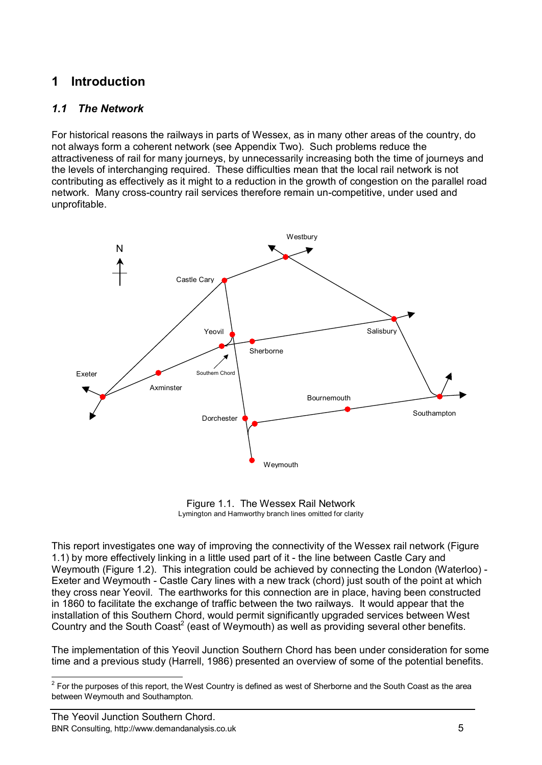# **1 Introduction**

### *1.1 The Network*

For historical reasons the railways in parts of Wessex, as in many other areas of the country, do not always form a coherent network (see Appendix Two). Such problems reduce the attractiveness of rail for many journeys, by unnecessarily increasing both the time of journeys and the levels of interchanging required. These difficulties mean that the local rail network is not contributing as effectively as it might to a reduction in the growth of congestion on the parallel road network. Many cross-country rail services therefore remain un-competitive, under used and unprofitable.



Figure 1.1. The Wessex Rail Network Lymington and Hamworthy branch lines omitted for clarity

This report investigates one way of improving the connectivity of the Wessex rail network (Figure 1.1) by more effectively linking in a little used part of it - the line between Castle Cary and Weymouth (Figure 1.2). This integration could be achieved by connecting the London (Waterloo) - Exeter and Weymouth - Castle Cary lines with a new track (chord) just south of the point at which they cross near Yeovil. The earthworks for this connection are in place, having been constructed in 1860 to facilitate the exchange of traffic between the two railways. It would appear that the installation of this Southern Chord, would permit significantly upgraded services between West Country and the South Coast<sup>2</sup> (east of Weymouth) as well as providing several other benefits.

The implementation of this Yeovil Junction Southern Chord has been under consideration for some time and a previous study (Harrell, 1986) presented an overview of some of the potential benefits.

 2 For the purposes of this report, the West Country is defined as west of Sherborne and the South Coast as the area between Weymouth and Southampton.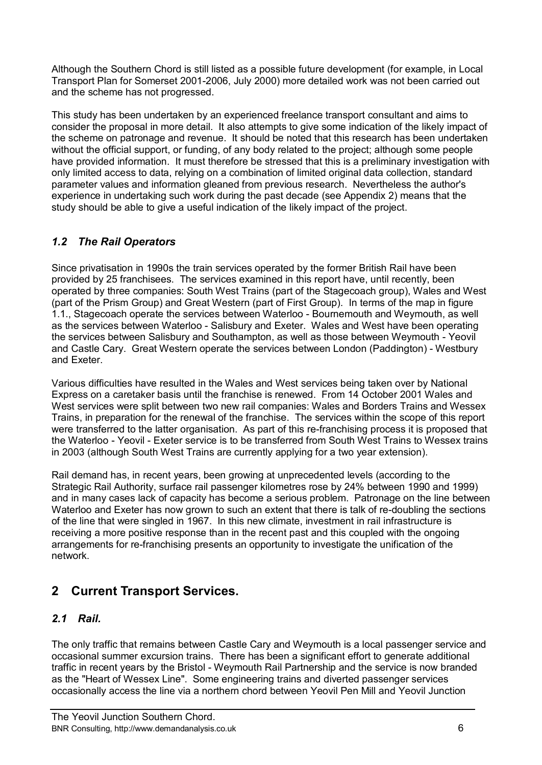Although the Southern Chord is still listed as a possible future development (for example, in Local Transport Plan for Somerset 2001-2006, July 2000) more detailed work was not been carried out and the scheme has not progressed.

This study has been undertaken by an experienced freelance transport consultant and aims to consider the proposal in more detail. It also attempts to give some indication of the likely impact of the scheme on patronage and revenue. It should be noted that this research has been undertaken without the official support, or funding, of any body related to the project; although some people have provided information. It must therefore be stressed that this is a preliminary investigation with only limited access to data, relying on a combination of limited original data collection, standard parameter values and information gleaned from previous research. Nevertheless the author's experience in undertaking such work during the past decade (see Appendix 2) means that the study should be able to give a useful indication of the likely impact of the project.

# *1.2 The Rail Operators*

Since privatisation in 1990s the train services operated by the former British Rail have been provided by 25 franchisees. The services examined in this report have, until recently, been operated by three companies: South West Trains (part of the Stagecoach group), Wales and West (part of the Prism Group) and Great Western (part of First Group). In terms of the map in figure 1.1., Stagecoach operate the services between Waterloo - Bournemouth and Weymouth, as well as the services between Waterloo - Salisbury and Exeter. Wales and West have been operating the services between Salisbury and Southampton, as well as those between Weymouth - Yeovil and Castle Cary. Great Western operate the services between London (Paddington) - Westbury and Exeter.

Various difficulties have resulted in the Wales and West services being taken over by National Express on a caretaker basis until the franchise is renewed. From 14 October 2001 Wales and West services were split between two new rail companies: Wales and Borders Trains and Wessex Trains, in preparation for the renewal of the franchise. The services within the scope of this report were transferred to the latter organisation. As part of this re-franchising process it is proposed that the Waterloo - Yeovil - Exeter service is to be transferred from South West Trains to Wessex trains in 2003 (although South West Trains are currently applying for a two year extension).

Rail demand has, in recent years, been growing at unprecedented levels (according to the Strategic Rail Authority, surface rail passenger kilometres rose by 24% between 1990 and 1999) and in many cases lack of capacity has become a serious problem. Patronage on the line between Waterloo and Exeter has now grown to such an extent that there is talk of re-doubling the sections of the line that were singled in 1967. In this new climate, investment in rail infrastructure is receiving a more positive response than in the recent past and this coupled with the ongoing arrangements for re-franchising presents an opportunity to investigate the unification of the network.

# **2 Current Transport Services.**

### *2.1 Rail.*

The only traffic that remains between Castle Cary and Weymouth is a local passenger service and occasional summer excursion trains. There has been a significant effort to generate additional traffic in recent years by the Bristol - Weymouth Rail Partnership and the service is now branded as the "Heart of Wessex Line". Some engineering trains and diverted passenger services occasionally access the line via a northern chord between Yeovil Pen Mill and Yeovil Junction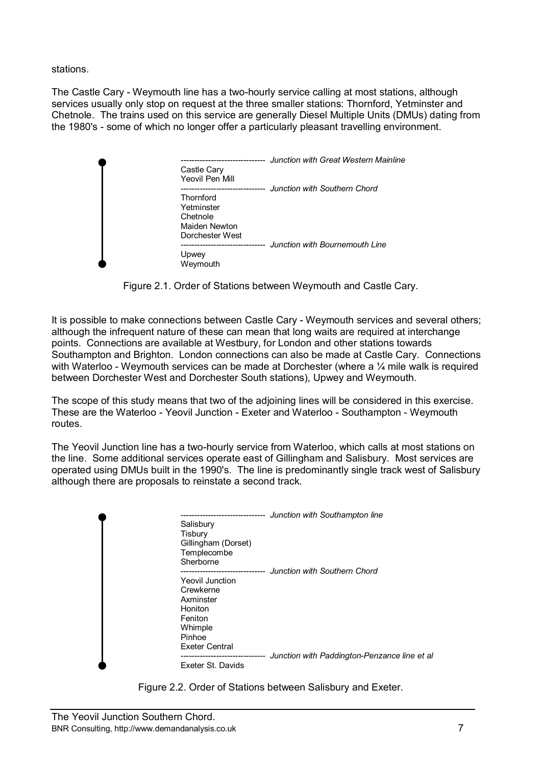stations.

The Castle Cary - Weymouth line has a two-hourly service calling at most stations, although services usually only stop on request at the three smaller stations: Thornford, Yetminster and Chetnole. The trains used on this service are generally Diesel Multiple Units (DMUs) dating from the 1980's - some of which no longer offer a particularly pleasant travelling environment.

| Castle Cary<br>Yeovil Pen Mill                                          | Junction with Great Western Mainline<br>Junction with Southern Chord |
|-------------------------------------------------------------------------|----------------------------------------------------------------------|
| Thornford<br>Yetminster<br>Chetnole<br>Maiden Newton<br>Dorchester West |                                                                      |
| Upwey<br>Weymouth                                                       | Junction with Bournemouth Line                                       |

Figure 2.1. Order of Stations between Weymouth and Castle Cary.

It is possible to make connections between Castle Cary - Weymouth services and several others; although the infrequent nature of these can mean that long waits are required at interchange points. Connections are available at Westbury, for London and other stations towards Southampton and Brighton. London connections can also be made at Castle Cary. Connections with Waterloo - Weymouth services can be made at Dorchester (where a  $\frac{1}{4}$  mile walk is required between Dorchester West and Dorchester South stations), Upwey and Weymouth.

The scope of this study means that two of the adjoining lines will be considered in this exercise. These are the Waterloo - Yeovil Junction - Exeter and Waterloo - Southampton - Weymouth routes.

The Yeovil Junction line has a two-hourly service from Waterloo, which calls at most stations on the line. Some additional services operate east of Gillingham and Salisbury. Most services are operated using DMUs built in the 1990's. The line is predominantly single track west of Salisbury although there are proposals to reinstate a second track.

| Salisbury<br>Tisbury<br>Templecombe<br>Sherborne                                                       | -------------------<br>Gillingham (Dorset) | Junction with Southampton line<br>Junction with Southern Chord |
|--------------------------------------------------------------------------------------------------------|--------------------------------------------|----------------------------------------------------------------|
| Yeovil Junction<br>Crewkerne<br>Axminster<br>Honiton<br>Feniton<br>Whimple<br>Pinhoe<br>Exeter Central | ----------------                           |                                                                |
| Exeter St. Davids                                                                                      |                                            | Junction with Paddington-Penzance line et al                   |

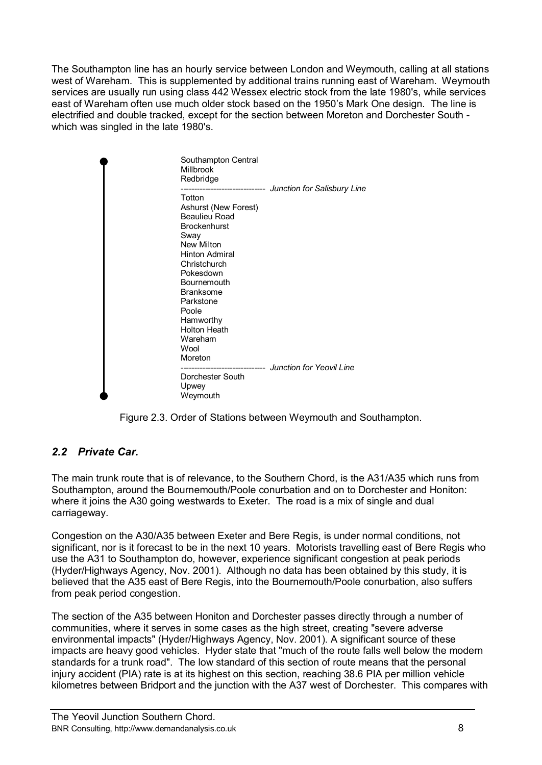The Southampton line has an hourly service between London and Weymouth, calling at all stations west of Wareham. This is supplemented by additional trains running east of Wareham. Weymouth services are usually run using class 442 Wessex electric stock from the late 1980's, while services east of Wareham often use much older stock based on the 1950's Mark One design. The line is electrified and double tracked, except for the section between Moreton and Dorchester South which was singled in the late 1980's.

| Southampton Central<br><b>Millbrook</b><br>Redbridge                                                                                                                                                                                                                             |                                                       |
|----------------------------------------------------------------------------------------------------------------------------------------------------------------------------------------------------------------------------------------------------------------------------------|-------------------------------------------------------|
| Totton<br>Ashurst (New Forest)<br>Beaulieu Road<br><b>Brockenhurst</b><br>Sway<br><b>New Milton</b><br><b>Hinton Admiral</b><br>Christchurch<br>Pokesdown<br><b>Bournemouth</b><br><b>Branksome</b><br>Parkstone<br>Poole<br>Hamworthy<br><b>Holton Heath</b><br>Wareham<br>Wool | ------------------------- Junction for Salisbury Line |
| Moreton<br>Dorchester South<br>Upwey<br>Weymouth                                                                                                                                                                                                                                 | ------------------------ Junction for Yeovil Line     |



## *2.2 Private Car.*

The main trunk route that is of relevance, to the Southern Chord, is the A31/A35 which runs from Southampton, around the Bournemouth/Poole conurbation and on to Dorchester and Honiton: where it joins the A30 going westwards to Exeter. The road is a mix of single and dual carriageway.

Congestion on the A30/A35 between Exeter and Bere Regis, is under normal conditions, not significant, nor is it forecast to be in the next 10 years. Motorists travelling east of Bere Regis who use the A31 to Southampton do, however, experience significant congestion at peak periods (Hyder/Highways Agency, Nov. 2001). Although no data has been obtained by this study, it is believed that the A35 east of Bere Regis, into the Bournemouth/Poole conurbation, also suffers from peak period congestion.

The section of the A35 between Honiton and Dorchester passes directly through a number of communities, where it serves in some cases as the high street, creating "severe adverse environmental impacts" (Hyder/Highways Agency, Nov. 2001). A significant source of these impacts are heavy good vehicles. Hyder state that "much of the route falls well below the modern standards for a trunk road". The low standard of this section of route means that the personal injury accident (PIA) rate is at its highest on this section, reaching 38.6 PIA per million vehicle kilometres between Bridport and the junction with the A37 west of Dorchester. This compares with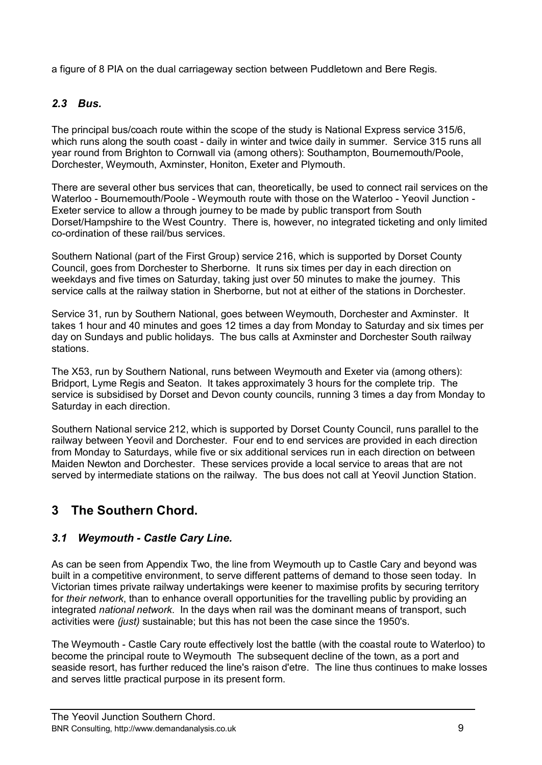a figure of 8 PIA on the dual carriageway section between Puddletown and Bere Regis.

### *2.3 Bus.*

The principal bus/coach route within the scope of the study is National Express service 315/6, which runs along the south coast - daily in winter and twice daily in summer. Service 315 runs all year round from Brighton to Cornwall via (among others): Southampton, Bournemouth/Poole, Dorchester, Weymouth, Axminster, Honiton, Exeter and Plymouth.

There are several other bus services that can, theoretically, be used to connect rail services on the Waterloo - Bournemouth/Poole - Weymouth route with those on the Waterloo - Yeovil Junction - Exeter service to allow a through journey to be made by public transport from South Dorset/Hampshire to the West Country. There is, however, no integrated ticketing and only limited co-ordination of these rail/bus services.

Southern National (part of the First Group) service 216, which is supported by Dorset County Council, goes from Dorchester to Sherborne. It runs six times per day in each direction on weekdays and five times on Saturday, taking just over 50 minutes to make the journey. This service calls at the railway station in Sherborne, but not at either of the stations in Dorchester.

Service 31, run by Southern National, goes between Weymouth, Dorchester and Axminster. It takes 1 hour and 40 minutes and goes 12 times a day from Monday to Saturday and six times per day on Sundays and public holidays. The bus calls at Axminster and Dorchester South railway stations.

The X53, run by Southern National, runs between Weymouth and Exeter via (among others): Bridport, Lyme Regis and Seaton. It takes approximately 3 hours for the complete trip. The service is subsidised by Dorset and Devon county councils, running 3 times a day from Monday to Saturday in each direction.

Southern National service 212, which is supported by Dorset County Council, runs parallel to the railway between Yeovil and Dorchester. Four end to end services are provided in each direction from Monday to Saturdays, while five or six additional services run in each direction on between Maiden Newton and Dorchester. These services provide a local service to areas that are not served by intermediate stations on the railway. The bus does not call at Yeovil Junction Station.

# **3 The Southern Chord.**

### *3.1 Weymouth - Castle Cary Line.*

As can be seen from Appendix Two, the line from Weymouth up to Castle Cary and beyond was built in a competitive environment, to serve different patterns of demand to those seen today. In Victorian times private railway undertakings were keener to maximise profits by securing territory for *their network*, than to enhance overall opportunities for the travelling public by providing an integrated *national network*. In the days when rail was the dominant means of transport, such activities were *(just)* sustainable; but this has not been the case since the 1950's.

The Weymouth - Castle Cary route effectively lost the battle (with the coastal route to Waterloo) to become the principal route to Weymouth The subsequent decline of the town, as a port and seaside resort, has further reduced the line's raison d'etre. The line thus continues to make losses and serves little practical purpose in its present form.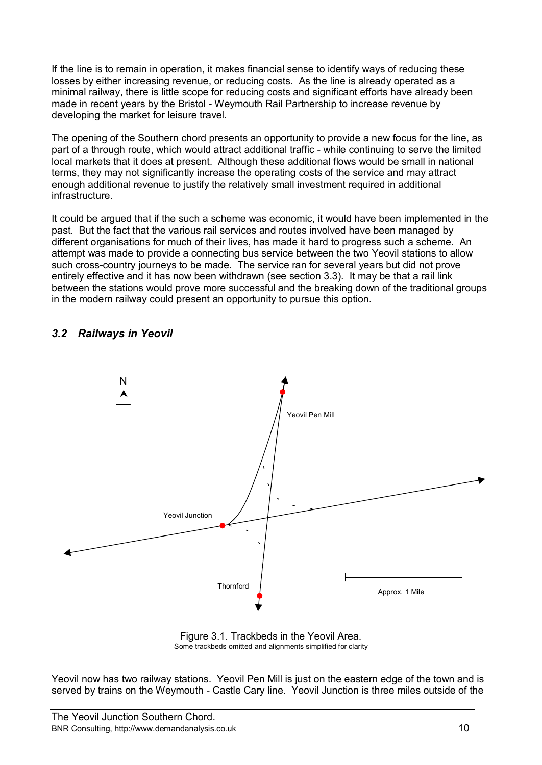If the line is to remain in operation, it makes financial sense to identify ways of reducing these losses by either increasing revenue, or reducing costs. As the line is already operated as a minimal railway, there is little scope for reducing costs and significant efforts have already been made in recent years by the Bristol - Weymouth Rail Partnership to increase revenue by developing the market for leisure travel.

The opening of the Southern chord presents an opportunity to provide a new focus for the line, as part of a through route, which would attract additional traffic - while continuing to serve the limited local markets that it does at present. Although these additional flows would be small in national terms, they may not significantly increase the operating costs of the service and may attract enough additional revenue to justify the relatively small investment required in additional infrastructure.

It could be argued that if the such a scheme was economic, it would have been implemented in the past. But the fact that the various rail services and routes involved have been managed by different organisations for much of their lives, has made it hard to progress such a scheme. An attempt was made to provide a connecting bus service between the two Yeovil stations to allow such cross-country journeys to be made. The service ran for several years but did not prove entirely effective and it has now been withdrawn (see section 3.3). It may be that a rail link between the stations would prove more successful and the breaking down of the traditional groups in the modern railway could present an opportunity to pursue this option.

### *3.2 Railways in Yeovil*



Figure 3.1. Trackbeds in the Yeovil Area. Some trackbeds omitted and alignments simplified for clarity

Yeovil now has two railway stations. Yeovil Pen Mill is just on the eastern edge of the town and is served by trains on the Weymouth - Castle Cary line. Yeovil Junction is three miles outside of the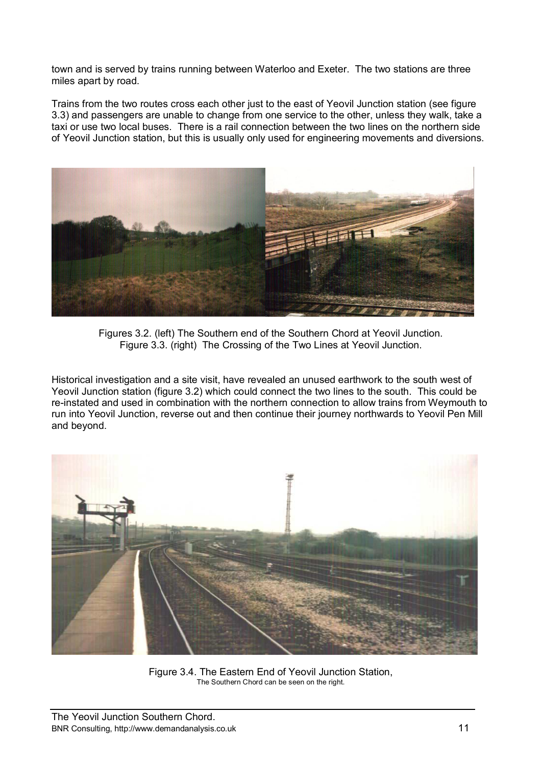town and is served by trains running between Waterloo and Exeter. The two stations are three miles apart by road.

Trains from the two routes cross each other just to the east of Yeovil Junction station (see figure 3.3) and passengers are unable to change from one service to the other, unless they walk, take a taxi or use two local buses. There is a rail connection between the two lines on the northern side of Yeovil Junction station, but this is usually only used for engineering movements and diversions.



Figures 3.2. (left) The Southern end of the Southern Chord at Yeovil Junction. Figure 3.3. (right) The Crossing of the Two Lines at Yeovil Junction.

Historical investigation and a site visit, have revealed an unused earthwork to the south west of Yeovil Junction station (figure 3.2) which could connect the two lines to the south. This could be re-instated and used in combination with the northern connection to allow trains from Weymouth to run into Yeovil Junction, reverse out and then continue their journey northwards to Yeovil Pen Mill and beyond.



Figure 3.4. The Eastern End of Yeovil Junction Station, The Southern Chord can be seen on the right.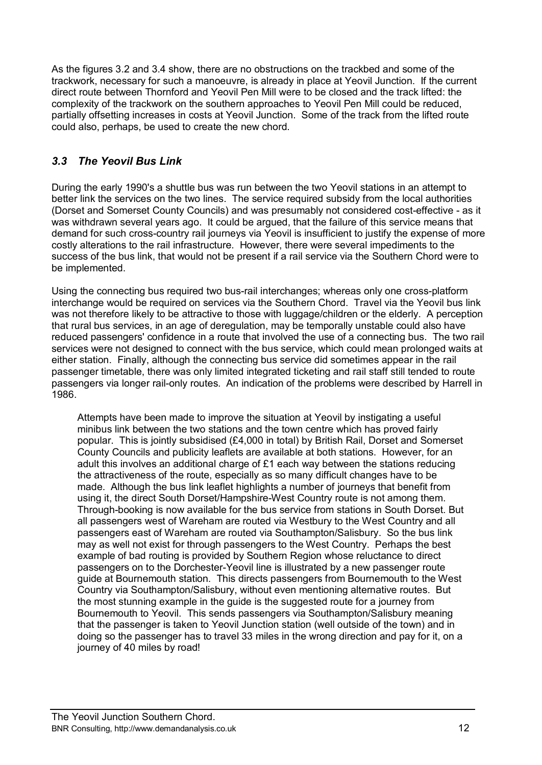As the figures 3.2 and 3.4 show, there are no obstructions on the trackbed and some of the trackwork, necessary for such a manoeuvre, is already in place at Yeovil Junction. If the current direct route between Thornford and Yeovil Pen Mill were to be closed and the track lifted: the complexity of the trackwork on the southern approaches to Yeovil Pen Mill could be reduced, partially offsetting increases in costs at Yeovil Junction. Some of the track from the lifted route could also, perhaps, be used to create the new chord.

## *3.3 The Yeovil Bus Link*

During the early 1990's a shuttle bus was run between the two Yeovil stations in an attempt to better link the services on the two lines. The service required subsidy from the local authorities (Dorset and Somerset County Councils) and was presumably not considered cost-effective - as it was withdrawn several years ago. It could be argued, that the failure of this service means that demand for such cross-country rail journeys via Yeovil is insufficient to justify the expense of more costly alterations to the rail infrastructure. However, there were several impediments to the success of the bus link, that would not be present if a rail service via the Southern Chord were to be implemented.

Using the connecting bus required two bus-rail interchanges; whereas only one cross-platform interchange would be required on services via the Southern Chord. Travel via the Yeovil bus link was not therefore likely to be attractive to those with luggage/children or the elderly. A perception that rural bus services, in an age of deregulation, may be temporally unstable could also have reduced passengers' confidence in a route that involved the use of a connecting bus. The two rail services were not designed to connect with the bus service, which could mean prolonged waits at either station. Finally, although the connecting bus service did sometimes appear in the rail passenger timetable, there was only limited integrated ticketing and rail staff still tended to route passengers via longer rail-only routes. An indication of the problems were described by Harrell in 1986.

Attempts have been made to improve the situation at Yeovil by instigating a useful minibus link between the two stations and the town centre which has proved fairly popular. This is jointly subsidised (£4,000 in total) by British Rail, Dorset and Somerset County Councils and publicity leaflets are available at both stations. However, for an adult this involves an additional charge of £1 each way between the stations reducing the attractiveness of the route, especially as so many difficult changes have to be made. Although the bus link leaflet highlights a number of journeys that benefit from using it, the direct South Dorset/Hampshire-West Country route is not among them. Through-booking is now available for the bus service from stations in South Dorset. But all passengers west of Wareham are routed via Westbury to the West Country and all passengers east of Wareham are routed via Southampton/Salisbury. So the bus link may as well not exist for through passengers to the West Country. Perhaps the best example of bad routing is provided by Southern Region whose reluctance to direct passengers on to the Dorchester-Yeovil line is illustrated by a new passenger route guide at Bournemouth station. This directs passengers from Bournemouth to the West Country via Southampton/Salisbury, without even mentioning alternative routes. But the most stunning example in the guide is the suggested route for a journey from Bournemouth to Yeovil. This sends passengers via Southampton/Salisbury meaning that the passenger is taken to Yeovil Junction station (well outside of the town) and in doing so the passenger has to travel 33 miles in the wrong direction and pay for it, on a journey of 40 miles by road!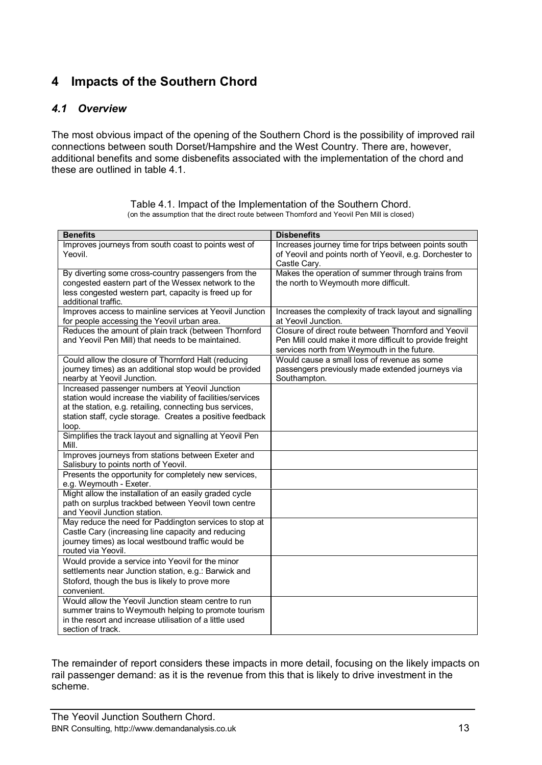# **4 Impacts of the Southern Chord**

### *4.1 Overview*

The most obvious impact of the opening of the Southern Chord is the possibility of improved rail connections between south Dorset/Hampshire and the West Country. There are, however, additional benefits and some disbenefits associated with the implementation of the chord and these are outlined in table 4.1.

| <b>Benefits</b>                                                                                                                                                                                                                                 | <b>Disbenefits</b>                                                                                                                                              |
|-------------------------------------------------------------------------------------------------------------------------------------------------------------------------------------------------------------------------------------------------|-----------------------------------------------------------------------------------------------------------------------------------------------------------------|
| Improves journeys from south coast to points west of<br>Yeovil.                                                                                                                                                                                 | Increases journey time for trips between points south<br>of Yeovil and points north of Yeovil, e.g. Dorchester to<br>Castle Cary.                               |
| By diverting some cross-country passengers from the<br>congested eastern part of the Wessex network to the<br>less congested western part, capacity is freed up for<br>additional traffic.                                                      | Makes the operation of summer through trains from<br>the north to Weymouth more difficult.                                                                      |
| Improves access to mainline services at Yeovil Junction<br>for people accessing the Yeovil urban area.                                                                                                                                          | Increases the complexity of track layout and signalling<br>at Yeovil Junction.                                                                                  |
| Reduces the amount of plain track (between Thornford<br>and Yeovil Pen Mill) that needs to be maintained.                                                                                                                                       | Closure of direct route between Thornford and Yeovil<br>Pen Mill could make it more difficult to provide freight<br>services north from Weymouth in the future. |
| Could allow the closure of Thornford Halt (reducing<br>journey times) as an additional stop would be provided<br>nearby at Yeovil Junction.                                                                                                     | Would cause a small loss of revenue as some<br>passengers previously made extended journeys via<br>Southampton.                                                 |
| Increased passenger numbers at Yeovil Junction<br>station would increase the viability of facilities/services<br>at the station, e.g. retailing, connecting bus services,<br>station staff, cycle storage. Creates a positive feedback<br>loop. |                                                                                                                                                                 |
| Simplifies the track layout and signalling at Yeovil Pen<br>Mill.                                                                                                                                                                               |                                                                                                                                                                 |
| Improves journeys from stations between Exeter and<br>Salisbury to points north of Yeovil.                                                                                                                                                      |                                                                                                                                                                 |
| Presents the opportunity for completely new services,<br>e.g. Weymouth - Exeter.                                                                                                                                                                |                                                                                                                                                                 |
| Might allow the installation of an easily graded cycle<br>path on surplus trackbed between Yeovil town centre<br>and Yeovil Junction station.                                                                                                   |                                                                                                                                                                 |
| May reduce the need for Paddington services to stop at<br>Castle Cary (increasing line capacity and reducing<br>journey times) as local westbound traffic would be<br>routed via Yeovil.                                                        |                                                                                                                                                                 |
| Would provide a service into Yeovil for the minor<br>settlements near Junction station, e.g.: Barwick and<br>Stoford, though the bus is likely to prove more<br>convenient.                                                                     |                                                                                                                                                                 |
| Would allow the Yeovil Junction steam centre to run<br>summer trains to Weymouth helping to promote tourism<br>in the resort and increase utilisation of a little used<br>section of track.                                                     |                                                                                                                                                                 |

Table 4.1. Impact of the Implementation of the Southern Chord. (on the assumption that the direct route between Thornford and Yeovil Pen Mill is closed)

The remainder of report considers these impacts in more detail, focusing on the likely impacts on rail passenger demand: as it is the revenue from this that is likely to drive investment in the scheme.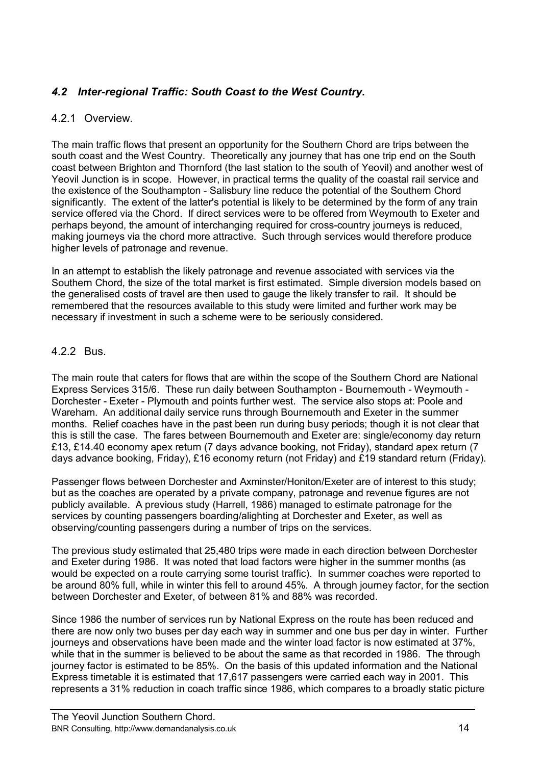### *4.2 Inter-regional Traffic: South Coast to the West Country.*

### 4.2.1 Overview.

The main traffic flows that present an opportunity for the Southern Chord are trips between the south coast and the West Country. Theoretically any journey that has one trip end on the South coast between Brighton and Thornford (the last station to the south of Yeovil) and another west of Yeovil Junction is in scope. However, in practical terms the quality of the coastal rail service and the existence of the Southampton - Salisbury line reduce the potential of the Southern Chord significantly. The extent of the latter's potential is likely to be determined by the form of any train service offered via the Chord. If direct services were to be offered from Weymouth to Exeter and perhaps beyond, the amount of interchanging required for cross-country journeys is reduced, making journeys via the chord more attractive. Such through services would therefore produce higher levels of patronage and revenue.

In an attempt to establish the likely patronage and revenue associated with services via the Southern Chord, the size of the total market is first estimated. Simple diversion models based on the generalised costs of travel are then used to gauge the likely transfer to rail. It should be remembered that the resources available to this study were limited and further work may be necessary if investment in such a scheme were to be seriously considered.

### 4.2.2 Bus.

The main route that caters for flows that are within the scope of the Southern Chord are National Express Services 315/6. These run daily between Southampton - Bournemouth - Weymouth - Dorchester - Exeter - Plymouth and points further west. The service also stops at: Poole and Wareham. An additional daily service runs through Bournemouth and Exeter in the summer months. Relief coaches have in the past been run during busy periods; though it is not clear that this is still the case. The fares between Bournemouth and Exeter are: single/economy day return £13, £14.40 economy apex return (7 days advance booking, not Friday), standard apex return (7 days advance booking, Friday), £16 economy return (not Friday) and £19 standard return (Friday).

Passenger flows between Dorchester and Axminster/Honiton/Exeter are of interest to this study; but as the coaches are operated by a private company, patronage and revenue figures are not publicly available. A previous study (Harrell, 1986) managed to estimate patronage for the services by counting passengers boarding/alighting at Dorchester and Exeter, as well as observing/counting passengers during a number of trips on the services.

The previous study estimated that 25,480 trips were made in each direction between Dorchester and Exeter during 1986. It was noted that load factors were higher in the summer months (as would be expected on a route carrying some tourist traffic). In summer coaches were reported to be around 80% full, while in winter this fell to around 45%. A through journey factor, for the section between Dorchester and Exeter, of between 81% and 88% was recorded.

Since 1986 the number of services run by National Express on the route has been reduced and there are now only two buses per day each way in summer and one bus per day in winter. Further journeys and observations have been made and the winter load factor is now estimated at 37%, while that in the summer is believed to be about the same as that recorded in 1986. The through journey factor is estimated to be 85%. On the basis of this updated information and the National Express timetable it is estimated that 17,617 passengers were carried each way in 2001. This represents a 31% reduction in coach traffic since 1986, which compares to a broadly static picture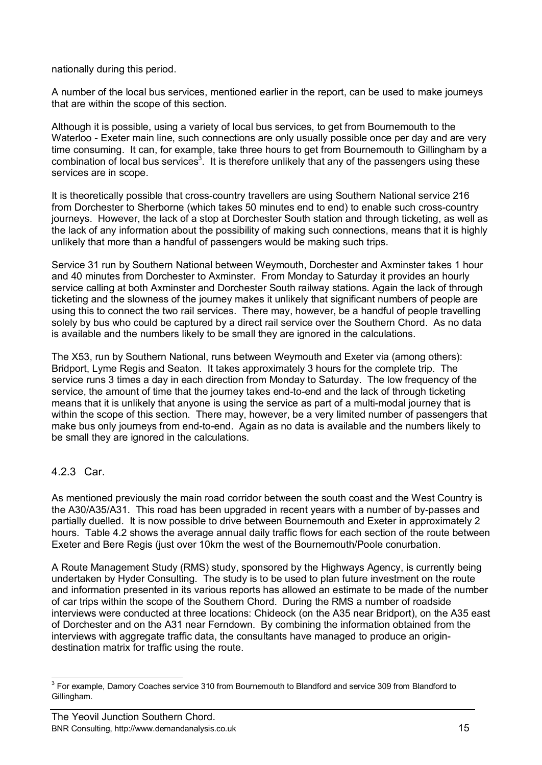nationally during this period.

A number of the local bus services, mentioned earlier in the report, can be used to make journeys that are within the scope of this section.

Although it is possible, using a variety of local bus services, to get from Bournemouth to the Waterloo - Exeter main line, such connections are only usually possible once per day and are very time consuming. It can, for example, take three hours to get from Bournemouth to Gillingham by a combination of local bus services<sup>3</sup>. It is therefore unlikely that any of the passengers using these services are in scope.

It is theoretically possible that cross-country travellers are using Southern National service 216 from Dorchester to Sherborne (which takes 50 minutes end to end) to enable such cross-country journeys. However, the lack of a stop at Dorchester South station and through ticketing, as well as the lack of any information about the possibility of making such connections, means that it is highly unlikely that more than a handful of passengers would be making such trips.

Service 31 run by Southern National between Weymouth, Dorchester and Axminster takes 1 hour and 40 minutes from Dorchester to Axminster. From Monday to Saturday it provides an hourly service calling at both Axminster and Dorchester South railway stations. Again the lack of through ticketing and the slowness of the journey makes it unlikely that significant numbers of people are using this to connect the two rail services. There may, however, be a handful of people travelling solely by bus who could be captured by a direct rail service over the Southern Chord. As no data is available and the numbers likely to be small they are ignored in the calculations.

The X53, run by Southern National, runs between Weymouth and Exeter via (among others): Bridport, Lyme Regis and Seaton. It takes approximately 3 hours for the complete trip. The service runs 3 times a day in each direction from Monday to Saturday. The low frequency of the service, the amount of time that the journey takes end-to-end and the lack of through ticketing means that it is unlikely that anyone is using the service as part of a multi-modal journey that is within the scope of this section. There may, however, be a very limited number of passengers that make bus only journeys from end-to-end. Again as no data is available and the numbers likely to be small they are ignored in the calculations.

### 4.2.3 Car.

As mentioned previously the main road corridor between the south coast and the West Country is the A30/A35/A31. This road has been upgraded in recent years with a number of by-passes and partially duelled. It is now possible to drive between Bournemouth and Exeter in approximately 2 hours. Table 4.2 shows the average annual daily traffic flows for each section of the route between Exeter and Bere Regis (just over 10km the west of the Bournemouth/Poole conurbation.

A Route Management Study (RMS) study, sponsored by the Highways Agency, is currently being undertaken by Hyder Consulting. The study is to be used to plan future investment on the route and information presented in its various reports has allowed an estimate to be made of the number of car trips within the scope of the Southern Chord. During the RMS a number of roadside interviews were conducted at three locations: Chideock (on the A35 near Bridport), on the A35 east of Dorchester and on the A31 near Ferndown. By combining the information obtained from the interviews with aggregate traffic data, the consultants have managed to produce an origindestination matrix for traffic using the route.

<sup>————————————————————&</sup>lt;br><sup>3</sup> For example, Damory Coaches service 310 from Bournemouth to Blandford and service 309 from Blandford to Gillingham.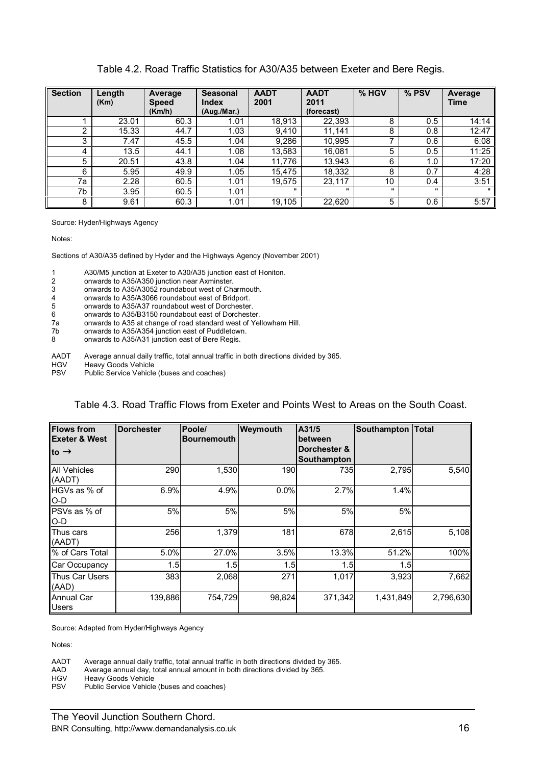#### Table 4.2. Road Traffic Statistics for A30/A35 between Exeter and Bere Regis.

| <b>Section</b> | Length<br>(Km) | Average<br><b>Speed</b> | <b>Seasonal</b><br>Index | <b>AADT</b><br>2001 | <b>AADT</b><br>2011 | % HGV        | % PSV | Average<br><b>Time</b> |
|----------------|----------------|-------------------------|--------------------------|---------------------|---------------------|--------------|-------|------------------------|
|                |                | (Km/h)                  | (Aug./Mar.)              |                     | (forecast)          |              |       |                        |
|                | 23.01          | 60.3                    | 1.01                     | 18,913              | 22,393              | 8            | 0.5   | 14:14                  |
| 2              | 15.33          | 44.7                    | 1.03                     | 9.410               | 11,141              | 8            | 0.8   | 12:47                  |
| 3              | 7.47           | 45.5                    | 1.04                     | 9,286               | 10,995              | ⇁            | 0.6   | 6:08                   |
| 4              | 13.5           | 44.1                    | 1.08                     | 13,583              | 16.081              | 5            | 0.5   | 11:25                  |
| 5              | 20.51          | 43.8                    | 1.04                     | 11.776              | 13,943              | 6            | 1.0   | 17:20                  |
| 6              | 5.95           | 49.9                    | 1.05                     | 15,475              | 18,332              | 8            | 0.7   | 4:28                   |
| 7a             | 2.28           | 60.5                    | 1.01                     | 19,575              | 23,117              | 10           | 0.4   | 3:51                   |
| 7b             | 3.95           | 60.5                    | 1.01                     |                     |                     | $\mathbf{u}$ |       | $\mathbf{u}$           |
| 8              | 9.61           | 60.3                    | 1.01                     | 19,105              | 22,620              | 5            | 0.6   | 5:57                   |

Source: Hyder/Highways Agency

Notes:

Sections of A30/A35 defined by Hyder and the Highways Agency (November 2001)

1 A30/M5 junction at Exeter to A30/A35 junction east of Honiton.<br>2 onwards to A35/A350 junction near Axminster.

2 onwards to A35/A350 junction near Axminster.

3 onwards to A35/A3052 roundabout west of Charmouth.<br>4 onwards to A35/A3066 roundabout east of Bridport.

4 onwards to A35/A3066 roundabout east of Bridport.

onwards to A35/A37 roundabout west of Dorchester.

6 onwards to A35/B3150 roundabout east of Dorchester.

7a onwards to A35 at change of road standard west of Yellowham Hill.<br>7b onwards to A35/A354 junction east of Puddletown.

7b onwards to A35/A354 junction east of Puddletown.

onwards to A35/A31 junction east of Bere Regis.

AADT Average annual daily traffic, total annual traffic in both directions divided by 365.<br>HGV Heavy Goods Vehicle

HGV Heavy Goods Vehicle<br>PSV Public Service Vehicle

Public Service Vehicle (buses and coaches)

#### Table 4.3. Road Traffic Flows from Exeter and Points West to Areas on the South Coast.

| <b>Flows from</b>             | <b>Dorchester</b> | Poole/             | Weymouth | A31/5                       | Southampton | Total     |
|-------------------------------|-------------------|--------------------|----------|-----------------------------|-------------|-----------|
| <b>Exeter &amp; West</b>      |                   | <b>Bournemouth</b> |          | between                     |             |           |
| to ®                          |                   |                    |          | Dorchester &<br>Southampton |             |           |
| <b>All Vehicles</b><br>(AADT) | 290               | 1,530              | 190      | 7351                        | 2,795       | 5,540     |
| HGVs as % of<br>$O-D$         | 6.9%              | 4.9%               | 0.0%     | 2.7%                        | 1.4%        |           |
| PSVs as % of<br>$IO-D$        | 5%                | 5%                 | 5%       | 5%                          | 5%          |           |
| Thus cars<br>(AADT)           | 256               | 1,379              | 181      | 678                         | 2,615       | 5,108     |
| % of Cars Total               | 5.0%              | 27.0%              | 3.5%     | 13.3%                       | 51.2%       | 100%      |
| Car Occupancy                 | 1.5               | 1.5                | 1.5      | 1.5                         | 1.5         |           |
| Thus Car Users<br>(AAD)       | 383               | 2,068              | 271      | 1,017                       | 3,923       | 7,662     |
| Annual Car<br><b>Users</b>    | 139,886           | 754,729            | 98,824   | 371,342                     | 1,431,849   | 2,796,630 |

Source: Adapted from Hyder/Highways Agency

Notes:

AADT Average annual daily traffic, total annual traffic in both directions divided by 365.<br>AAD Average annual day, total annual amount in both directions divided by 365.

AAD Average annual day, total annual amount in both directions divided by 365.

HGV Heavy Goods Vehicle<br>PSV Public Service Vehicle

Public Service Vehicle (buses and coaches)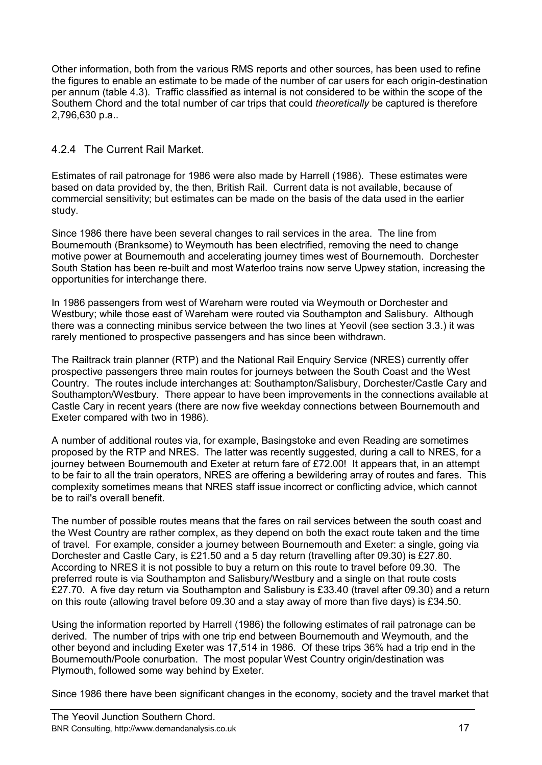Other information, both from the various RMS reports and other sources, has been used to refine the figures to enable an estimate to be made of the number of car users for each origin-destination per annum (table 4.3). Traffic classified as internal is not considered to be within the scope of the Southern Chord and the total number of car trips that could *theoretically* be captured is therefore 2,796,630 p.a..

### 4.2.4 The Current Rail Market.

Estimates of rail patronage for 1986 were also made by Harrell (1986). These estimates were based on data provided by, the then, British Rail. Current data is not available, because of commercial sensitivity; but estimates can be made on the basis of the data used in the earlier study.

Since 1986 there have been several changes to rail services in the area. The line from Bournemouth (Branksome) to Weymouth has been electrified, removing the need to change motive power at Bournemouth and accelerating journey times west of Bournemouth. Dorchester South Station has been re-built and most Waterloo trains now serve Upwey station, increasing the opportunities for interchange there.

In 1986 passengers from west of Wareham were routed via Weymouth or Dorchester and Westbury; while those east of Wareham were routed via Southampton and Salisbury. Although there was a connecting minibus service between the two lines at Yeovil (see section 3.3.) it was rarely mentioned to prospective passengers and has since been withdrawn.

The Railtrack train planner (RTP) and the National Rail Enquiry Service (NRES) currently offer prospective passengers three main routes for journeys between the South Coast and the West Country. The routes include interchanges at: Southampton/Salisbury, Dorchester/Castle Cary and Southampton/Westbury. There appear to have been improvements in the connections available at Castle Cary in recent years (there are now five weekday connections between Bournemouth and Exeter compared with two in 1986).

A number of additional routes via, for example, Basingstoke and even Reading are sometimes proposed by the RTP and NRES. The latter was recently suggested, during a call to NRES, for a journey between Bournemouth and Exeter at return fare of £72.00! It appears that, in an attempt to be fair to all the train operators, NRES are offering a bewildering array of routes and fares. This complexity sometimes means that NRES staff issue incorrect or conflicting advice, which cannot be to rail's overall benefit.

The number of possible routes means that the fares on rail services between the south coast and the West Country are rather complex, as they depend on both the exact route taken and the time of travel. For example, consider a journey between Bournemouth and Exeter: a single, going via Dorchester and Castle Cary, is £21.50 and a 5 day return (travelling after 09.30) is £27.80. According to NRES it is not possible to buy a return on this route to travel before 09.30. The preferred route is via Southampton and Salisbury/Westbury and a single on that route costs £27.70. A five day return via Southampton and Salisbury is £33.40 (travel after 09.30) and a return on this route (allowing travel before 09.30 and a stay away of more than five days) is £34.50.

Using the information reported by Harrell (1986) the following estimates of rail patronage can be derived. The number of trips with one trip end between Bournemouth and Weymouth, and the other beyond and including Exeter was 17,514 in 1986. Of these trips 36% had a trip end in the Bournemouth/Poole conurbation. The most popular West Country origin/destination was Plymouth, followed some way behind by Exeter.

Since 1986 there have been significant changes in the economy, society and the travel market that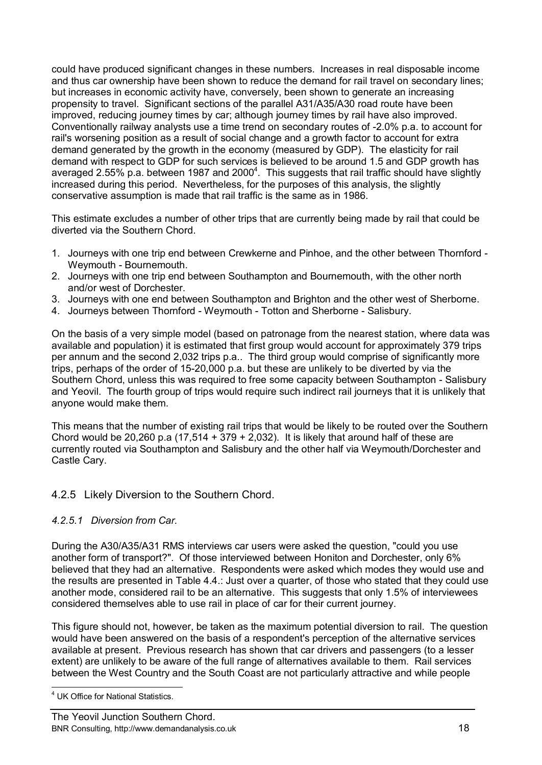could have produced significant changes in these numbers. Increases in real disposable income and thus car ownership have been shown to reduce the demand for rail travel on secondary lines; but increases in economic activity have, conversely, been shown to generate an increasing propensity to travel. Significant sections of the parallel A31/A35/A30 road route have been improved, reducing journey times by car; although journey times by rail have also improved. Conventionally railway analysts use a time trend on secondary routes of -2.0% p.a. to account for rail's worsening position as a result of social change and a growth factor to account for extra demand generated by the growth in the economy (measured by GDP). The elasticity for rail demand with respect to GDP for such services is believed to be around 1.5 and GDP growth has averaged 2.55% p.a. between 1987 and 2000<sup>4</sup>. This suggests that rail traffic should have slightly increased during this period. Nevertheless, for the purposes of this analysis, the slightly conservative assumption is made that rail traffic is the same as in 1986.

This estimate excludes a number of other trips that are currently being made by rail that could be diverted via the Southern Chord.

- 1. Journeys with one trip end between Crewkerne and Pinhoe, and the other between Thornford Weymouth - Bournemouth.
- 2. Journeys with one trip end between Southampton and Bournemouth, with the other north and/or west of Dorchester.
- 3. Journeys with one end between Southampton and Brighton and the other west of Sherborne.
- 4. Journeys between Thornford Weymouth Totton and Sherborne Salisbury.

On the basis of a very simple model (based on patronage from the nearest station, where data was available and population) it is estimated that first group would account for approximately 379 trips per annum and the second 2,032 trips p.a.. The third group would comprise of significantly more trips, perhaps of the order of 15-20,000 p.a. but these are unlikely to be diverted by via the Southern Chord, unless this was required to free some capacity between Southampton - Salisbury and Yeovil. The fourth group of trips would require such indirect rail journeys that it is unlikely that anyone would make them.

This means that the number of existing rail trips that would be likely to be routed over the Southern Chord would be 20,260 p.a (17,514 + 379 + 2,032). It is likely that around half of these are currently routed via Southampton and Salisbury and the other half via Weymouth/Dorchester and Castle Cary.

### 4.2.5 Likely Diversion to the Southern Chord.

### *4.2.5.1 Diversion from Car.*

During the A30/A35/A31 RMS interviews car users were asked the question, "could you use another form of transport?". Of those interviewed between Honiton and Dorchester, only 6% believed that they had an alternative. Respondents were asked which modes they would use and the results are presented in Table 4.4.: Just over a quarter, of those who stated that they could use another mode, considered rail to be an alternative. This suggests that only 1.5% of interviewees considered themselves able to use rail in place of car for their current journey.

This figure should not, however, be taken as the maximum potential diversion to rail. The question would have been answered on the basis of a respondent's perception of the alternative services available at present. Previous research has shown that car drivers and passengers (to a lesser extent) are unlikely to be aware of the full range of alternatives available to them. Rail services between the West Country and the South Coast are not particularly attractive and while people

 $\overline{a}$ <sup>4</sup> UK Office for National Statistics.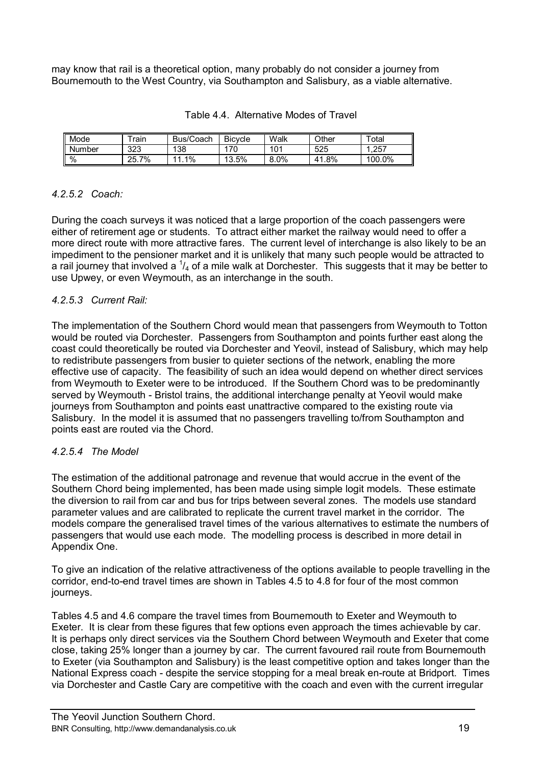may know that rail is a theoretical option, many probably do not consider a journey from Bournemouth to the West Country, via Southampton and Salisbury, as a viable alternative.

| <b>I</b> Mode | $\tau$ rain | Bus/Coach | <b>Bicycle</b> | Walk | Other     | $\tau$ otal |
|---------------|-------------|-----------|----------------|------|-----------|-------------|
| <b>Number</b> | 323         | 138       | 170            | 101  | 525       | .257        |
| $\vert \%$    | 7%<br>25.7  | 1%        | 13.5%          | 8.0% | .8%<br>41 | 100.0%      |

#### Table 4.4. Alternative Modes of Travel

### *4.2.5.2 Coach:*

During the coach surveys it was noticed that a large proportion of the coach passengers were either of retirement age or students. To attract either market the railway would need to offer a more direct route with more attractive fares. The current level of interchange is also likely to be an impediment to the pensioner market and it is unlikely that many such people would be attracted to a rail journey that involved a  $\frac{1}{4}$  of a mile walk at Dorchester. This suggests that it may be better to use Upwey, or even Weymouth, as an interchange in the south.

### *4.2.5.3 Current Rail:*

The implementation of the Southern Chord would mean that passengers from Weymouth to Totton would be routed via Dorchester. Passengers from Southampton and points further east along the coast could theoretically be routed via Dorchester and Yeovil, instead of Salisbury, which may help to redistribute passengers from busier to quieter sections of the network, enabling the more effective use of capacity. The feasibility of such an idea would depend on whether direct services from Weymouth to Exeter were to be introduced. If the Southern Chord was to be predominantly served by Weymouth - Bristol trains, the additional interchange penalty at Yeovil would make journeys from Southampton and points east unattractive compared to the existing route via Salisbury. In the model it is assumed that no passengers travelling to/from Southampton and points east are routed via the Chord.

### *4.2.5.4 The Model*

The estimation of the additional patronage and revenue that would accrue in the event of the Southern Chord being implemented, has been made using simple logit models. These estimate the diversion to rail from car and bus for trips between several zones. The models use standard parameter values and are calibrated to replicate the current travel market in the corridor. The models compare the generalised travel times of the various alternatives to estimate the numbers of passengers that would use each mode. The modelling process is described in more detail in Appendix One.

To give an indication of the relative attractiveness of the options available to people travelling in the corridor, end-to-end travel times are shown in Tables 4.5 to 4.8 for four of the most common journeys.

Tables 4.5 and 4.6 compare the travel times from Bournemouth to Exeter and Weymouth to Exeter. It is clear from these figures that few options even approach the times achievable by car. It is perhaps only direct services via the Southern Chord between Weymouth and Exeter that come close, taking 25% longer than a journey by car. The current favoured rail route from Bournemouth to Exeter (via Southampton and Salisbury) is the least competitive option and takes longer than the National Express coach - despite the service stopping for a meal break en-route at Bridport. Times via Dorchester and Castle Cary are competitive with the coach and even with the current irregular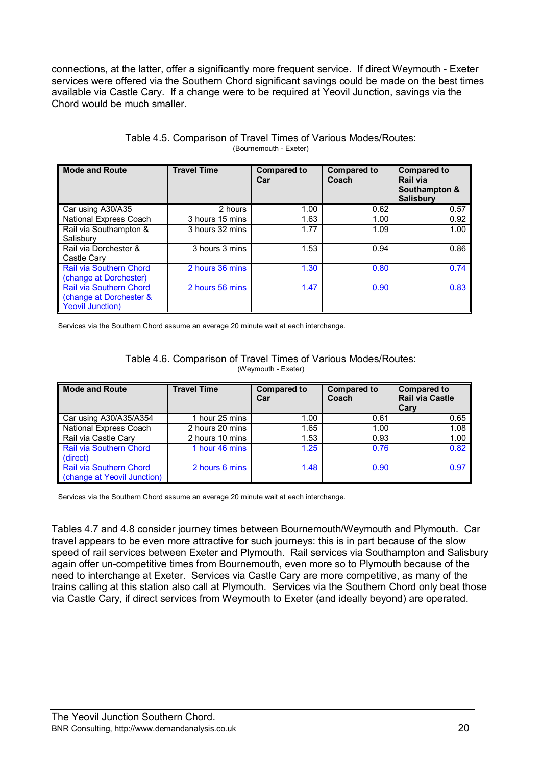connections, at the latter, offer a significantly more frequent service. If direct Weymouth - Exeter services were offered via the Southern Chord significant savings could be made on the best times available via Castle Cary. If a change were to be required at Yeovil Junction, savings via the Chord would be much smaller.

| <b>Mode and Route</b>                                                         | <b>Travel Time</b> | <b>Compared to</b><br>Car | <b>Compared to</b><br>Coach | <b>Compared to</b><br>Rail via<br>Southampton &<br><b>Salisbury</b> |
|-------------------------------------------------------------------------------|--------------------|---------------------------|-----------------------------|---------------------------------------------------------------------|
| Car using A30/A35                                                             | 2 hours            | 1.00                      | 0.62                        | 0.57                                                                |
| National Express Coach                                                        | 3 hours 15 mins    | 1.63                      | 1.00                        | 0.92                                                                |
| Rail via Southampton &<br>Salisbury                                           | 3 hours 32 mins    | 1.77                      | 1.09                        | 1.00                                                                |
| Rail via Dorchester &<br>Castle Cary                                          | 3 hours 3 mins     | 1.53                      | 0.94                        | 0.86                                                                |
| Rail via Southern Chord<br>(change at Dorchester)                             | 2 hours 36 mins    | 1.30                      | 0.80                        | 0.74                                                                |
| Rail via Southern Chord<br>(change at Dorchester &<br><b>Yeovil Junction)</b> | 2 hours 56 mins    | 1.47                      | 0.90                        | 0.83                                                                |

#### Table 4.5. Comparison of Travel Times of Various Modes/Routes: (Bournemouth - Exeter)

Services via the Southern Chord assume an average 20 minute wait at each interchange.

| Table 4.6. Comparison of Travel Times of Various Modes/Routes: |
|----------------------------------------------------------------|
| (Weymouth - Exeter)                                            |

| <b>Mode and Route</b>                                  | <b>Travel Time</b> | <b>Compared to</b><br>Car | <b>Compared to</b><br>Coach | <b>Compared to</b><br><b>Rail via Castle</b><br>Cary |
|--------------------------------------------------------|--------------------|---------------------------|-----------------------------|------------------------------------------------------|
| Car using A30/A35/A354                                 | 1 hour 25 mins     | 1.00                      | 0.61                        | 0.65                                                 |
| National Express Coach                                 | 2 hours 20 mins    | 1.65                      | 1.00                        | 1.08                                                 |
| Rail via Castle Cary                                   | 2 hours 10 mins    | 1.53                      | 0.93                        | 1.00                                                 |
| Rail via Southern Chord<br>(direct)                    | 1 hour 46 mins     | 1.25                      | 0.76                        | 0.82                                                 |
| Rail via Southern Chord<br>(change at Yeovil Junction) | 2 hours 6 mins     | 1.48                      | 0.90                        | 0.97                                                 |

Services via the Southern Chord assume an average 20 minute wait at each interchange.

Tables 4.7 and 4.8 consider journey times between Bournemouth/Weymouth and Plymouth. Car travel appears to be even more attractive for such journeys: this is in part because of the slow speed of rail services between Exeter and Plymouth. Rail services via Southampton and Salisbury again offer un-competitive times from Bournemouth, even more so to Plymouth because of the need to interchange at Exeter. Services via Castle Cary are more competitive, as many of the trains calling at this station also call at Plymouth. Services via the Southern Chord only beat those via Castle Cary, if direct services from Weymouth to Exeter (and ideally beyond) are operated.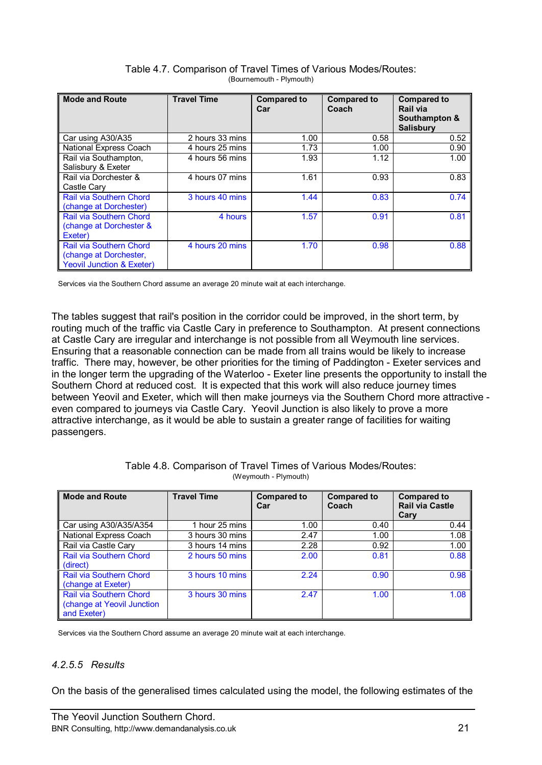| <b>Mode and Route</b>                                                                            | <b>Travel Time</b> | <b>Compared to</b><br>Car | <b>Compared to</b><br>Coach | <b>Compared to</b><br>Rail via<br>Southampton &<br><b>Salisbury</b> |
|--------------------------------------------------------------------------------------------------|--------------------|---------------------------|-----------------------------|---------------------------------------------------------------------|
| Car using A30/A35                                                                                | 2 hours 33 mins    | 1.00                      | 0.58                        | 0.52                                                                |
| National Express Coach                                                                           | 4 hours 25 mins    | 1.73                      | 1.00                        | 0.90                                                                |
| Rail via Southampton,<br>Salisbury & Exeter                                                      | 4 hours 56 mins    | 1.93                      | 1.12                        | 1.00                                                                |
| Rail via Dorchester &<br>Castle Cary                                                             | 4 hours 07 mins    | 1.61                      | 0.93                        | 0.83                                                                |
| Rail via Southern Chord<br>(change at Dorchester)                                                | 3 hours 40 mins    | 1.44                      | 0.83                        | 0.74                                                                |
| Rail via Southern Chord<br>(change at Dorchester &<br>Exeter)                                    | 4 hours            | 1.57                      | 0.91                        | 0.81                                                                |
| <b>Rail via Southern Chord</b><br>(change at Dorchester,<br><b>Yeovil Junction &amp; Exeter)</b> | 4 hours 20 mins    | 1.70                      | 0.98                        | 0.88                                                                |

Table 4.7. Comparison of Travel Times of Various Modes/Routes: (Bournemouth - Plymouth)

Services via the Southern Chord assume an average 20 minute wait at each interchange.

The tables suggest that rail's position in the corridor could be improved, in the short term, by routing much of the traffic via Castle Cary in preference to Southampton. At present connections at Castle Cary are irregular and interchange is not possible from all Weymouth line services. Ensuring that a reasonable connection can be made from all trains would be likely to increase traffic. There may, however, be other priorities for the timing of Paddington - Exeter services and in the longer term the upgrading of the Waterloo - Exeter line presents the opportunity to install the Southern Chord at reduced cost. It is expected that this work will also reduce journey times between Yeovil and Exeter, which will then make journeys via the Southern Chord more attractive even compared to journeys via Castle Cary. Yeovil Junction is also likely to prove a more attractive interchange, as it would be able to sustain a greater range of facilities for waiting passengers.

| <b>Mode and Route</b>                                                       | <b>Travel Time</b> | <b>Compared to</b><br>Car | <b>Compared to</b><br>Coach | <b>Compared to</b><br><b>Rail via Castle</b><br>Cary |
|-----------------------------------------------------------------------------|--------------------|---------------------------|-----------------------------|------------------------------------------------------|
| Car using A30/A35/A354                                                      | 1 hour 25 mins     | 1.00                      | 0.40                        | 0.44                                                 |
| National Express Coach                                                      | 3 hours 30 mins    | 2.47                      | 1.00                        | 1.08                                                 |
| Rail via Castle Cary                                                        | 3 hours 14 mins    | 2.28                      | 0.92                        | 1.00                                                 |
| <b>Rail via Southern Chord</b><br>(direct)                                  | 2 hours 50 mins    | 2.00                      | 0.81                        | 0.88                                                 |
| Rail via Southern Chord<br>(change at Exeter)                               | 3 hours 10 mins    | 2.24                      | 0.90                        | 0.98                                                 |
| <b>Rail via Southern Chord</b><br>(change at Yeovil Junction<br>and Exeter) | 3 hours 30 mins    | 2.47                      | 1.00                        | 1.08                                                 |

Table 4.8. Comparison of Travel Times of Various Modes/Routes: (Weymouth - Plymouth)

Services via the Southern Chord assume an average 20 minute wait at each interchange.

### *4.2.5.5 Results*

On the basis of the generalised times calculated using the model, the following estimates of the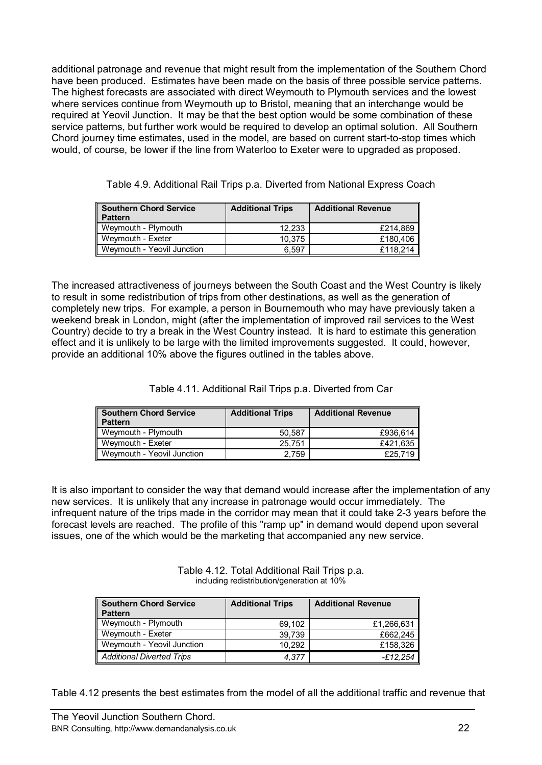additional patronage and revenue that might result from the implementation of the Southern Chord have been produced. Estimates have been made on the basis of three possible service patterns. The highest forecasts are associated with direct Weymouth to Plymouth services and the lowest where services continue from Weymouth up to Bristol, meaning that an interchange would be required at Yeovil Junction. It may be that the best option would be some combination of these service patterns, but further work would be required to develop an optimal solution. All Southern Chord journey time estimates, used in the model, are based on current start-to-stop times which would, of course, be lower if the line from Waterloo to Exeter were to upgraded as proposed.

| <b>Southern Chord Service</b><br><b>Pattern</b> | <b>Additional Trips</b> | <b>Additional Revenue</b> |
|-------------------------------------------------|-------------------------|---------------------------|
| Weymouth - Plymouth                             | 12.233                  | £214.869                  |
| Weymouth - Exeter                               | 10.375                  | £180,406                  |
| Weymouth - Yeovil Junction                      | 6.597                   | £118.214                  |

Table 4.9. Additional Rail Trips p.a. Diverted from National Express Coach

The increased attractiveness of journeys between the South Coast and the West Country is likely to result in some redistribution of trips from other destinations, as well as the generation of completely new trips. For example, a person in Bournemouth who may have previously taken a weekend break in London, might (after the implementation of improved rail services to the West Country) decide to try a break in the West Country instead. It is hard to estimate this generation effect and it is unlikely to be large with the limited improvements suggested. It could, however, provide an additional 10% above the figures outlined in the tables above.

Table 4.11. Additional Rail Trips p.a. Diverted from Car

| Southern Chord Service<br>∥ Pattern | <b>Additional Trips</b> | <b>Additional Revenue</b> |
|-------------------------------------|-------------------------|---------------------------|
| Weymouth - Plymouth                 | 50.587                  | £936.614                  |
| Weymouth - Exeter                   | 25.751                  | £421,635                  |
| Weymouth - Yeovil Junction          | 2.759                   | £25.719                   |

It is also important to consider the way that demand would increase after the implementation of any new services. It is unlikely that any increase in patronage would occur immediately. The infrequent nature of the trips made in the corridor may mean that it could take 2-3 years before the forecast levels are reached. The profile of this "ramp up" in demand would depend upon several issues, one of the which would be the marketing that accompanied any new service.

> Table 4.12. Total Additional Rail Trips p.a. including redistribution/generation at 10%

| <b>Southern Chord Service</b><br><b>Pattern</b> | <b>Additional Trips</b> | <b>Additional Revenue</b> |
|-------------------------------------------------|-------------------------|---------------------------|
| Weymouth - Plymouth                             | 69.102                  | £1,266,631                |
| Weymouth - Exeter                               | 39.739                  | £662.245                  |
| Weymouth - Yeovil Junction                      | 10.292                  | £158,326                  |
| <b>Additional Diverted Trips</b>                | 4.377                   | -£12.254                  |

Table 4.12 presents the best estimates from the model of all the additional traffic and revenue that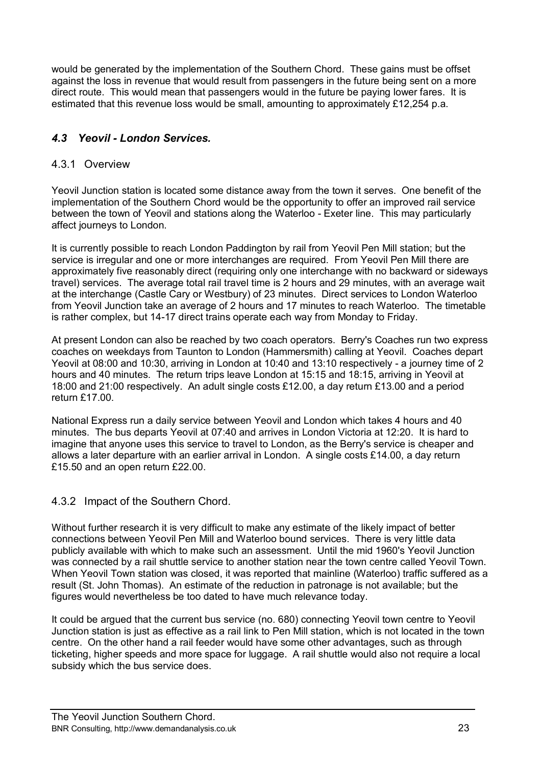would be generated by the implementation of the Southern Chord. These gains must be offset against the loss in revenue that would result from passengers in the future being sent on a more direct route. This would mean that passengers would in the future be paying lower fares. It is estimated that this revenue loss would be small, amounting to approximately £12,254 p.a.

### *4.3 Yeovil - London Services.*

### 4.3.1 Overview

Yeovil Junction station is located some distance away from the town it serves. One benefit of the implementation of the Southern Chord would be the opportunity to offer an improved rail service between the town of Yeovil and stations along the Waterloo - Exeter line. This may particularly affect journeys to London.

It is currently possible to reach London Paddington by rail from Yeovil Pen Mill station; but the service is irregular and one or more interchanges are required. From Yeovil Pen Mill there are approximately five reasonably direct (requiring only one interchange with no backward or sideways travel) services. The average total rail travel time is 2 hours and 29 minutes, with an average wait at the interchange (Castle Cary or Westbury) of 23 minutes. Direct services to London Waterloo from Yeovil Junction take an average of 2 hours and 17 minutes to reach Waterloo. The timetable is rather complex, but 14-17 direct trains operate each way from Monday to Friday.

At present London can also be reached by two coach operators. Berry's Coaches run two express coaches on weekdays from Taunton to London (Hammersmith) calling at Yeovil. Coaches depart Yeovil at 08:00 and 10:30, arriving in London at 10:40 and 13:10 respectively - a journey time of 2 hours and 40 minutes. The return trips leave London at 15:15 and 18:15, arriving in Yeovil at 18:00 and 21:00 respectively. An adult single costs £12.00, a day return £13.00 and a period return £17.00.

National Express run a daily service between Yeovil and London which takes 4 hours and 40 minutes. The bus departs Yeovil at 07:40 and arrives in London Victoria at 12:20. It is hard to imagine that anyone uses this service to travel to London, as the Berry's service is cheaper and allows a later departure with an earlier arrival in London. A single costs £14.00, a day return £15.50 and an open return £22.00.

### 4.3.2 Impact of the Southern Chord.

Without further research it is very difficult to make any estimate of the likely impact of better connections between Yeovil Pen Mill and Waterloo bound services. There is very little data publicly available with which to make such an assessment. Until the mid 1960's Yeovil Junction was connected by a rail shuttle service to another station near the town centre called Yeovil Town. When Yeovil Town station was closed, it was reported that mainline (Waterloo) traffic suffered as a result (St. John Thomas). An estimate of the reduction in patronage is not available; but the figures would nevertheless be too dated to have much relevance today.

It could be argued that the current bus service (no. 680) connecting Yeovil town centre to Yeovil Junction station is just as effective as a rail link to Pen Mill station, which is not located in the town centre. On the other hand a rail feeder would have some other advantages, such as through ticketing, higher speeds and more space for luggage. A rail shuttle would also not require a local subsidy which the bus service does.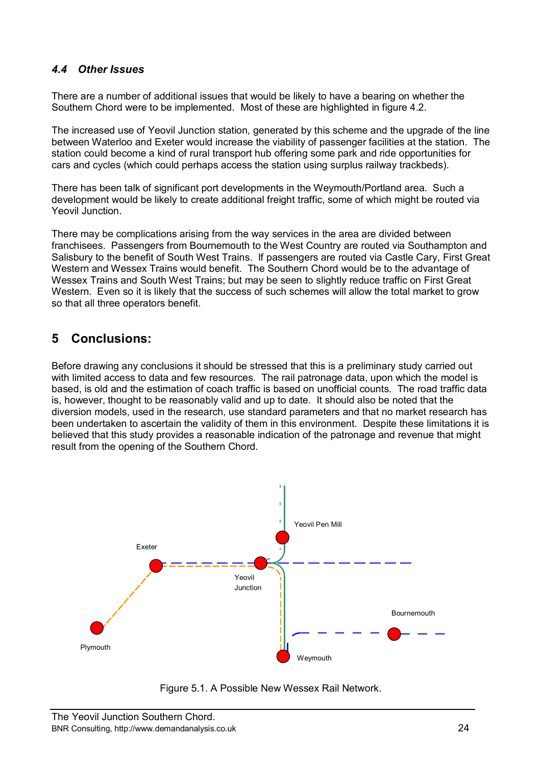### *4.4 Other Issues*

There are a number of additional issues that would be likely to have a bearing on whether the Southern Chord were to be implemented. Most of these are highlighted in figure 4.2.

The increased use of Yeovil Junction station, generated by this scheme and the upgrade of the line between Waterloo and Exeter would increase the viability of passenger facilities at the station. The station could become a kind of rural transport hub offering some park and ride opportunities for cars and cycles (which could perhaps access the station using surplus railway trackbeds).

There has been talk of significant port developments in the Weymouth/Portland area. Such a development would be likely to create additional freight traffic, some of which might be routed via Yeovil Junction.

There may be complications arising from the way services in the area are divided between franchisees. Passengers from Bournemouth to the West Country are routed via Southampton and Salisbury to the benefit of South West Trains. If passengers are routed via Castle Cary, First Great Western and Wessex Trains would benefit. The Southern Chord would be to the advantage of Wessex Trains and South West Trains; but may be seen to slightly reduce traffic on First Great Western. Even so it is likely that the success of such schemes will allow the total market to grow so that all three operators benefit.

# **5 Conclusions:**

Before drawing any conclusions it should be stressed that this is a preliminary study carried out with limited access to data and few resources. The rail patronage data, upon which the model is based, is old and the estimation of coach traffic is based on unofficial counts. The road traffic data is, however, thought to be reasonably valid and up to date. It should also be noted that the diversion models, used in the research, use standard parameters and that no market research has been undertaken to ascertain the validity of them in this environment. Despite these limitations it is believed that this study provides a reasonable indication of the patronage and revenue that might result from the opening of the Southern Chord.



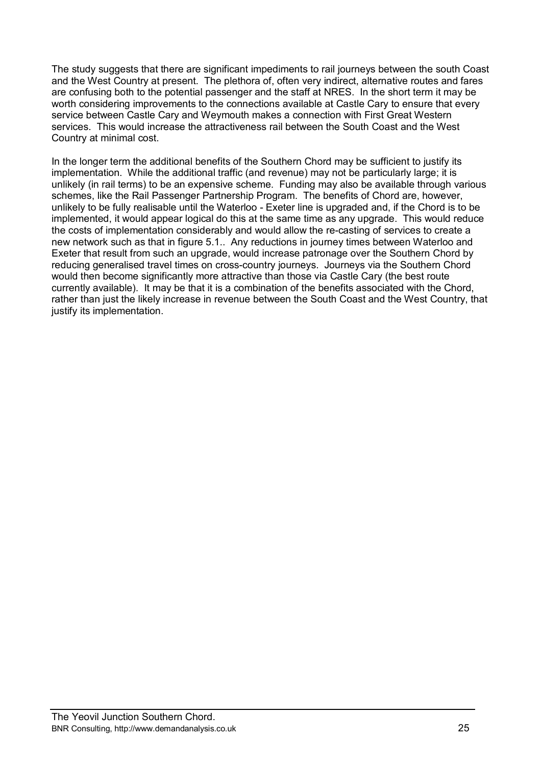The study suggests that there are significant impediments to rail journeys between the south Coast and the West Country at present. The plethora of, often very indirect, alternative routes and fares are confusing both to the potential passenger and the staff at NRES. In the short term it may be worth considering improvements to the connections available at Castle Cary to ensure that every service between Castle Cary and Weymouth makes a connection with First Great Western services. This would increase the attractiveness rail between the South Coast and the West Country at minimal cost.

In the longer term the additional benefits of the Southern Chord may be sufficient to justify its implementation. While the additional traffic (and revenue) may not be particularly large; it is unlikely (in rail terms) to be an expensive scheme. Funding may also be available through various schemes, like the Rail Passenger Partnership Program. The benefits of Chord are, however, unlikely to be fully realisable until the Waterloo - Exeter line is upgraded and, if the Chord is to be implemented, it would appear logical do this at the same time as any upgrade. This would reduce the costs of implementation considerably and would allow the re-casting of services to create a new network such as that in figure 5.1.. Any reductions in journey times between Waterloo and Exeter that result from such an upgrade, would increase patronage over the Southern Chord by reducing generalised travel times on cross-country journeys. Journeys via the Southern Chord would then become significantly more attractive than those via Castle Cary (the best route currently available). It may be that it is a combination of the benefits associated with the Chord, rather than just the likely increase in revenue between the South Coast and the West Country, that justify its implementation.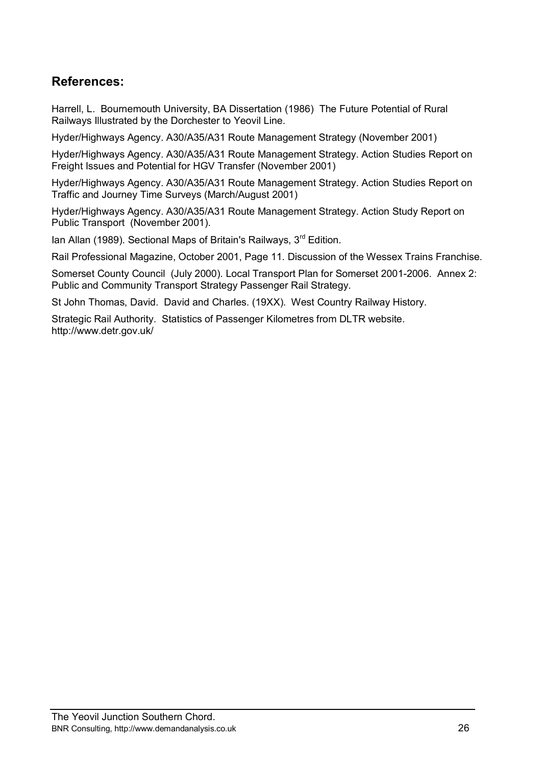# **References:**

Harrell, L. Bournemouth University, BA Dissertation (1986) The Future Potential of Rural Railways Illustrated by the Dorchester to Yeovil Line.

Hyder/Highways Agency. A30/A35/A31 Route Management Strategy (November 2001)

Hyder/Highways Agency. A30/A35/A31 Route Management Strategy. Action Studies Report on Freight Issues and Potential for HGV Transfer (November 2001)

Hyder/Highways Agency. A30/A35/A31 Route Management Strategy. Action Studies Report on Traffic and Journey Time Surveys (March/August 2001)

Hyder/Highways Agency. A30/A35/A31 Route Management Strategy. Action Study Report on Public Transport (November 2001).

Ian Allan (1989). Sectional Maps of Britain's Railways,  $3<sup>rd</sup>$  Edition.

Rail Professional Magazine, October 2001, Page 11. Discussion of the Wessex Trains Franchise.

Somerset County Council (July 2000). Local Transport Plan for Somerset 2001-2006. Annex 2: Public and Community Transport Strategy Passenger Rail Strategy.

St John Thomas, David. David and Charles. (19XX). West Country Railway History.

Strategic Rail Authority. Statistics of Passenger Kilometres from DLTR website. http://www.detr.gov.uk/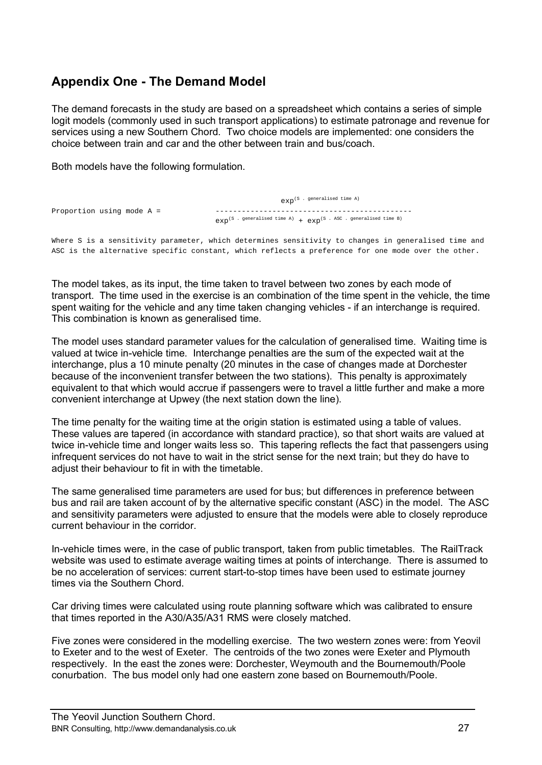# **Appendix One - The Demand Model**

The demand forecasts in the study are based on a spreadsheet which contains a series of simple logit models (commonly used in such transport applications) to estimate patronage and revenue for services using a new Southern Chord. Two choice models are implemented: one considers the choice between train and car and the other between train and bus/coach.

Both models have the following formulation.

|                             | $\exp^{(S}$ . generalised time A)                                                                          |
|-----------------------------|------------------------------------------------------------------------------------------------------------|
| Proportion using mode $A =$ | $\exp^{(S} \cdot \text{generalised time A)} + \exp^{(S \cdot \text{ASC } \cdot \text{ generated time B})}$ |

Where S is a sensitivity parameter, which determines sensitivity to changes in generalised time and ASC is the alternative specific constant, which reflects a preference for one mode over the other.

The model takes, as its input, the time taken to travel between two zones by each mode of transport. The time used in the exercise is an combination of the time spent in the vehicle, the time spent waiting for the vehicle and any time taken changing vehicles - if an interchange is required. This combination is known as generalised time.

The model uses standard parameter values for the calculation of generalised time. Waiting time is valued at twice in-vehicle time. Interchange penalties are the sum of the expected wait at the interchange, plus a 10 minute penalty (20 minutes in the case of changes made at Dorchester because of the inconvenient transfer between the two stations). This penalty is approximately equivalent to that which would accrue if passengers were to travel a little further and make a more convenient interchange at Upwey (the next station down the line).

The time penalty for the waiting time at the origin station is estimated using a table of values. These values are tapered (in accordance with standard practice), so that short waits are valued at twice in-vehicle time and longer waits less so. This tapering reflects the fact that passengers using infrequent services do not have to wait in the strict sense for the next train; but they do have to adjust their behaviour to fit in with the timetable.

The same generalised time parameters are used for bus; but differences in preference between bus and rail are taken account of by the alternative specific constant (ASC) in the model. The ASC and sensitivity parameters were adjusted to ensure that the models were able to closely reproduce current behaviour in the corridor.

In-vehicle times were, in the case of public transport, taken from public timetables. The RailTrack website was used to estimate average waiting times at points of interchange. There is assumed to be no acceleration of services: current start-to-stop times have been used to estimate journey times via the Southern Chord.

Car driving times were calculated using route planning software which was calibrated to ensure that times reported in the A30/A35/A31 RMS were closely matched.

Five zones were considered in the modelling exercise. The two western zones were: from Yeovil to Exeter and to the west of Exeter. The centroids of the two zones were Exeter and Plymouth respectively. In the east the zones were: Dorchester, Weymouth and the Bournemouth/Poole conurbation. The bus model only had one eastern zone based on Bournemouth/Poole.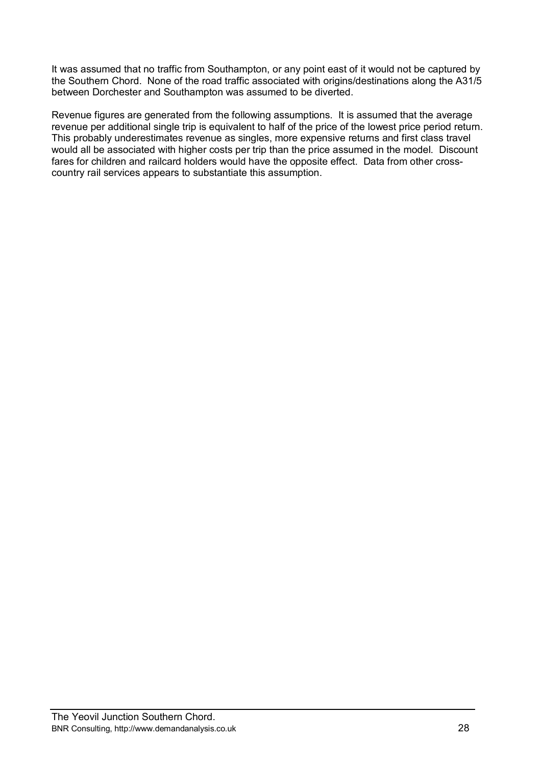It was assumed that no traffic from Southampton, or any point east of it would not be captured by the Southern Chord. None of the road traffic associated with origins/destinations along the A31/5 between Dorchester and Southampton was assumed to be diverted.

Revenue figures are generated from the following assumptions. It is assumed that the average revenue per additional single trip is equivalent to half of the price of the lowest price period return. This probably underestimates revenue as singles, more expensive returns and first class travel would all be associated with higher costs per trip than the price assumed in the model. Discount fares for children and railcard holders would have the opposite effect. Data from other crosscountry rail services appears to substantiate this assumption.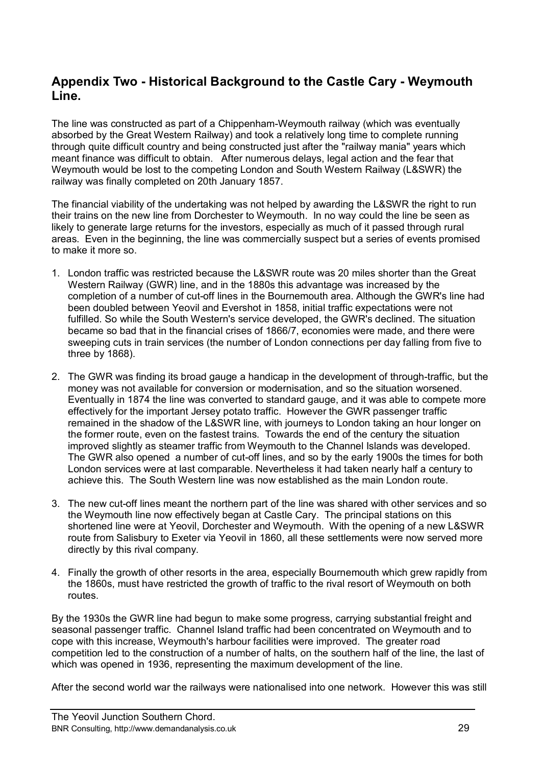# **Appendix Two - Historical Background to the Castle Cary - Weymouth Line.**

The line was constructed as part of a Chippenham-Weymouth railway (which was eventually absorbed by the Great Western Railway) and took a relatively long time to complete running through quite difficult country and being constructed just after the "railway mania" years which meant finance was difficult to obtain. After numerous delays, legal action and the fear that Weymouth would be lost to the competing London and South Western Railway (L&SWR) the railway was finally completed on 20th January 1857.

The financial viability of the undertaking was not helped by awarding the L&SWR the right to run their trains on the new line from Dorchester to Weymouth. In no way could the line be seen as likely to generate large returns for the investors, especially as much of it passed through rural areas. Even in the beginning, the line was commercially suspect but a series of events promised to make it more so.

- 1. London traffic was restricted because the L&SWR route was 20 miles shorter than the Great Western Railway (GWR) line, and in the 1880s this advantage was increased by the completion of a number of cut-off lines in the Bournemouth area. Although the GWR's line had been doubled between Yeovil and Evershot in 1858, initial traffic expectations were not fulfilled. So while the South Western's service developed, the GWR's declined. The situation became so bad that in the financial crises of 1866/7, economies were made, and there were sweeping cuts in train services (the number of London connections per day falling from five to three by 1868).
- 2. The GWR was finding its broad gauge a handicap in the development of through-traffic, but the money was not available for conversion or modernisation, and so the situation worsened. Eventually in 1874 the line was converted to standard gauge, and it was able to compete more effectively for the important Jersey potato traffic. However the GWR passenger traffic remained in the shadow of the L&SWR line, with journeys to London taking an hour longer on the former route, even on the fastest trains. Towards the end of the century the situation improved slightly as steamer traffic from Weymouth to the Channel Islands was developed. The GWR also opened a number of cut-off lines, and so by the early 1900s the times for both London services were at last comparable. Nevertheless it had taken nearly half a century to achieve this. The South Western line was now established as the main London route.
- 3. The new cut-off lines meant the northern part of the line was shared with other services and so the Weymouth line now effectively began at Castle Cary. The principal stations on this shortened line were at Yeovil, Dorchester and Weymouth. With the opening of a new L&SWR route from Salisbury to Exeter via Yeovil in 1860, all these settlements were now served more directly by this rival company.
- 4. Finally the growth of other resorts in the area, especially Bournemouth which grew rapidly from the 1860s, must have restricted the growth of traffic to the rival resort of Weymouth on both routes.

By the 1930s the GWR line had begun to make some progress, carrying substantial freight and seasonal passenger traffic. Channel Island traffic had been concentrated on Weymouth and to cope with this increase, Weymouth's harbour facilities were improved. The greater road competition led to the construction of a number of halts, on the southern half of the line, the last of which was opened in 1936, representing the maximum development of the line.

After the second world war the railways were nationalised into one network. However this was still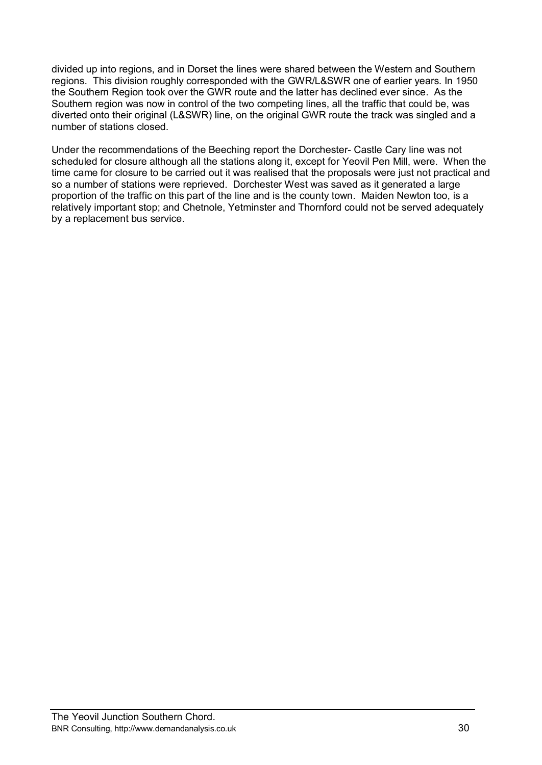divided up into regions, and in Dorset the lines were shared between the Western and Southern regions. This division roughly corresponded with the GWR/L&SWR one of earlier years. In 1950 the Southern Region took over the GWR route and the latter has declined ever since. As the Southern region was now in control of the two competing lines, all the traffic that could be, was diverted onto their original (L&SWR) line, on the original GWR route the track was singled and a number of stations closed.

Under the recommendations of the Beeching report the Dorchester- Castle Cary line was not scheduled for closure although all the stations along it, except for Yeovil Pen Mill, were. When the time came for closure to be carried out it was realised that the proposals were just not practical and so a number of stations were reprieved. Dorchester West was saved as it generated a large proportion of the traffic on this part of the line and is the county town. Maiden Newton too, is a relatively important stop; and Chetnole, Yetminster and Thornford could not be served adequately by a replacement bus service.